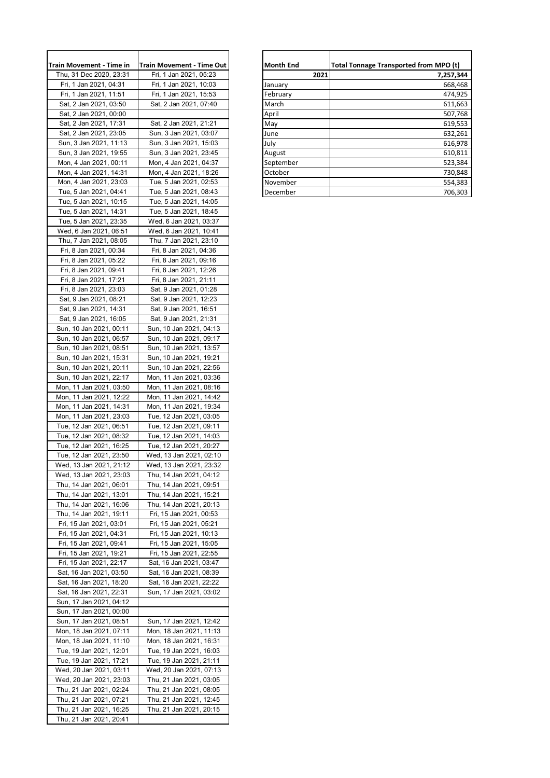| Train Movement - Time in                           | Train Movement - Time Out<br>Fri, 1 Jan 2021, 05:23 |
|----------------------------------------------------|-----------------------------------------------------|
| Thu, 31 Dec 2020, 23:31<br>Fri, 1 Jan 2021, 04:31  |                                                     |
| Fri, 1 Jan 2021, 11:51                             | Fri, 1 Jan 2021, 10:03<br>Fri, 1 Jan 2021, 15:53    |
| Sat, 2 Jan 2021, 03:50                             | Sat, 2 Jan 2021, 07:40                              |
| Sat, 2 Jan 2021, 00:00                             |                                                     |
| Sat, 2 Jan 2021, 17:31                             | Sat, 2 Jan 2021, 21:21                              |
| Sat, 2 Jan 2021, 23:05                             | Sun, 3 Jan 2021, 03:07                              |
| Sun, 3 Jan 2021, 11:13                             | Sun, 3 Jan 2021, 15:03                              |
| Sun, 3 Jan 2021, 19:55                             | Sun, 3 Jan 2021, 23:45                              |
| Mon, 4 Jan 2021, 00:11                             | Mon, 4 Jan 2021, 04:37                              |
| Mon, 4 Jan 2021, 14:31                             | Mon, 4 Jan 2021, 18:26                              |
| Mon, 4 Jan 2021, 23:03                             | Tue, 5 Jan 2021, 02:53                              |
| Tue, 5 Jan 2021, 04:41                             | Tue, 5 Jan 2021, 08:43                              |
| Tue, 5 Jan 2021, 10:15                             | Tue, 5 Jan 2021, 14:05                              |
| Tue, 5 Jan 2021, 14:31                             | Tue, 5 Jan 2021, 18:45                              |
| Tue, 5 Jan 2021, 23:35                             | Wed, 6 Jan 2021, 03:37                              |
| Wed, 6 Jan 2021, 06:51                             | Wed, 6 Jan 2021, 10:41                              |
| Thu, 7 Jan 2021, 08:05                             | Thu, 7 Jan 2021, 23:10                              |
| Fri, 8 Jan 2021, 00:34                             | Fri, 8 Jan 2021, 04:36                              |
| Fri, 8 Jan 2021, 05:22                             | Fri, 8 Jan 2021, 09:16                              |
| Fri, 8 Jan 2021, 09:41                             | Fri, 8 Jan 2021, 12:26                              |
| Fri, 8 Jan 2021, 17:21                             | Fri, 8 Jan 2021, 21:11                              |
| Fri, 8 Jan 2021, 23:03                             | Sat, 9 Jan 2021, 01:28<br>Sat, 9 Jan 2021, 12:23    |
| Sat, 9 Jan 2021, 08:21<br>Sat, 9 Jan 2021, 14:31   | Sat, 9 Jan 2021, 16:51                              |
| Sat, 9 Jan 2021, 16:05                             | Sat, 9 Jan 2021, 21:31                              |
| Sun, 10 Jan 2021, 00:11                            | Sun, 10 Jan 2021, 04:13                             |
| Sun, 10 Jan 2021, 06:57                            | Sun, 10 Jan 2021, 09:17                             |
| Sun, 10 Jan 2021, 08:51                            | Sun, 10 Jan 2021, 13:57                             |
| Sun, 10 Jan 2021, 15:31                            | Sun, 10 Jan 2021, 19:21                             |
| Sun, 10 Jan 2021, 20:11                            | Sun, 10 Jan 2021, 22:56                             |
| Sun, 10 Jan 2021, 22:17                            | Mon, 11 Jan 2021, 03:36                             |
| Mon, 11 Jan 2021, 03:50                            | Mon, 11 Jan 2021, 08:16                             |
| Mon, 11 Jan 2021, 12:22                            | Mon, 11 Jan 2021, 14:42                             |
| Mon, 11 Jan 2021, 14:31                            | Mon, 11 Jan 2021, 19:34                             |
| Mon, 11 Jan 2021, 23:03                            | Tue, 12 Jan 2021, 03:05                             |
| Tue, 12 Jan 2021, 06:51                            | Tue, 12 Jan 2021, 09:11                             |
| Tue, 12 Jan 2021, 08:32                            | Tue, 12 Jan 2021, 14:03                             |
| Tue, 12 Jan 2021, 16:25                            | Tue, 12 Jan 2021, 20:27                             |
| Tue, 12 Jan 2021, 23:50                            | Wed, 13 Jan 2021, 02:10                             |
| Wed, 13 Jan 2021, 21:12                            | Wed, 13 Jan 2021, 23:32                             |
| Wed, 13 Jan 2021, 23:03                            | Thu, 14 Jan 2021, 04:12                             |
| Thu, 14 Jan 2021, 06:01                            | Thu, 14 Jan 2021, 09:51                             |
| Thu, 14 Jan 2021, 13:01                            | Thu, 14 Jan 2021, 15:21                             |
| Thu, 14 Jan 2021, 16:06<br>Thu, 14 Jan 2021, 19:11 | Thu, 14 Jan 2021, 20:13<br>Fri, 15 Jan 2021, 00:53  |
| Fri, 15 Jan 2021, 03:01                            | Fri, 15 Jan 2021, 05:21                             |
| Fri, 15 Jan 2021, 04:31                            | Fri, 15 Jan 2021, 10:13                             |
| Fri, 15 Jan 2021, 09:41                            | Fri, 15 Jan 2021, 15:05                             |
| Fri, 15 Jan 2021, 19:21                            | Fri, 15 Jan 2021, 22:55                             |
| Fri, 15 Jan 2021, 22:17                            | Sat, 16 Jan 2021, 03:47                             |
| Sat, 16 Jan 2021, 03:50                            | Sat, 16 Jan 2021, 08:39                             |
| Sat, 16 Jan 2021, 18:20                            | Sat, 16 Jan 2021, 22:22                             |
| Sat, 16 Jan 2021, 22:31                            | Sun, 17 Jan 2021, 03:02                             |
| Sun, 17 Jan 2021, 04:12                            |                                                     |
| Sun, 17 Jan 2021, 00:00                            |                                                     |
| Sun, 17 Jan 2021, 08:51                            | Sun, 17 Jan 2021, 12:42                             |
| Mon, 18 Jan 2021, 07:11                            | Mon, 18 Jan 2021, 11:13                             |
| Mon, 18 Jan 2021, 11:10                            | Mon, 18 Jan 2021, 16:31                             |
| Tue, 19 Jan 2021, 12:01                            | Tue, 19 Jan 2021, 16:03                             |
| Tue, 19 Jan 2021, 17:21                            | Tue, 19 Jan 2021, 21:11                             |
| Wed, 20 Jan 2021, 03:11                            | Wed, 20 Jan 2021, 07:13                             |
| Wed, 20 Jan 2021, 23:03                            | Thu, 21 Jan 2021, 03:05                             |
| Thu, 21 Jan 2021, 02:24                            | Thu, 21 Jan 2021, 08:05                             |
| Thu, 21 Jan 2021, 07:21                            | Thu, 21 Jan 2021, 12:45                             |
| Thu, 21 Jan 2021, 16:25                            | Thu, 21 Jan 2021, 20:15                             |
| Thu, 21 Jan 2021, 20:41                            |                                                     |

| Train Movement - Time in | <b>Train Movement - Time Out</b> |
|--------------------------|----------------------------------|
|                          |                                  |
| Thu, 31 Dec 2020, 23:31  | Fri, 1 Jan 2021, 05:23           |
| Fri. 1 Jan 2021, 04:31   | Fri. 1 Jan 2021, 10:03           |
| Fri, 1 Jan 2021, 11:51   | Fri, 1 Jan 2021, 15:53           |
| Sat, 2 Jan 2021, 03:50   | Sat, 2 Jan 2021, 07:40           |
| Sat, 2 Jan 2021, 00:00   |                                  |
| Sat, 2 Jan 2021, 17:31   | Sat, 2 Jan 2021, 21:21           |
| Sat, 2 Jan 2021, 23:05   | Sun, 3 Jan 2021, 03:07           |
| Sun, 3 Jan 2021, 11:13   | Sun, 3 Jan 2021, 15:03           |
| Sun, 3 Jan 2021, 19:55   | Sun, 3 Jan 2021, 23:45           |
| Mon, 4 Jan 2021, 00:11   | Mon, 4 Jan 2021, 04:37           |
| Mon, 4 Jan 2021, 14:31   | Mon, 4 Jan 2021, 18:26           |
| Mon, 4 Jan 2021, 23:03   | Tue, 5 Jan 2021, 02:53           |
| Tue, 5 Jan 2021, 04:41   | Tue, 5 Jan 2021, 08:43           |
|                          |                                  |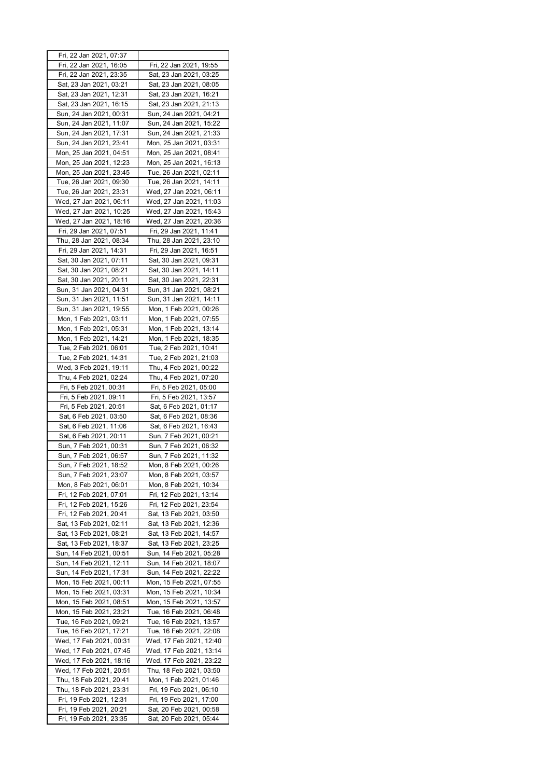| Fri, 22 Jan 2021, 07:37                            |                                                    |
|----------------------------------------------------|----------------------------------------------------|
| Fri, 22 Jan 2021, 16:05                            | Fri, 22 Jan 2021, 19:55                            |
| Fri, 22 Jan 2021, 23:35                            | Sat, 23 Jan 2021, 03:25                            |
| Sat, 23 Jan 2021, 03:21                            | Sat, 23 Jan 2021, 08:05                            |
|                                                    |                                                    |
| Sat, 23 Jan 2021, 12:31                            | Sat, 23 Jan 2021, 16:21                            |
| Sat, 23 Jan 2021, 16:15                            | Sat, 23 Jan 2021, 21:13                            |
| Sun, 24 Jan 2021, 00:31                            | Sun, 24 Jan 2021, 04:21                            |
| Sun, 24 Jan 2021, 11:07                            | Sun, 24 Jan 2021, 15:22                            |
| Sun, 24 Jan 2021, 17:31                            | Sun, 24 Jan 2021, 21:33                            |
| Sun, 24 Jan 2021, 23:41                            | Mon, 25 Jan 2021, 03:31                            |
| Mon, 25 Jan 2021, 04:51                            | Mon, 25 Jan 2021, 08:41                            |
| Mon, 25 Jan 2021, 12:23                            | Mon, 25 Jan 2021, 16:13                            |
| Mon, 25 Jan 2021, 23:45                            | Tue, 26 Jan 2021, 02:11                            |
|                                                    |                                                    |
| Tue, 26 Jan 2021, 09:30                            | Tue, 26 Jan 2021, 14:11                            |
| Tue, 26 Jan 2021, 23:31                            | Wed, 27 Jan 2021, 06:11                            |
| Wed, 27 Jan 2021, 06:11                            | Wed, 27 Jan 2021, 11:03                            |
| Wed, 27 Jan 2021, 10:25                            | Wed, 27 Jan 2021, 15:43                            |
| Wed, 27 Jan 2021, 18:16                            | Wed, 27 Jan 2021, 20:36                            |
| Fri, 29 Jan 2021, 07:51                            | Fri, 29 Jan 2021, 11:41                            |
| Thu, 28 Jan 2021, 08:34                            | Thu, 28 Jan 2021, 23:10                            |
| Fri, 29 Jan 2021, 14:31                            | Fri, 29 Jan 2021, 16:51                            |
| Sat, 30 Jan 2021, 07:11                            | Sat, 30 Jan 2021, 09:31                            |
| Sat, 30 Jan 2021, 08:21                            | Sat, 30 Jan 2021, 14:11                            |
|                                                    |                                                    |
| Sat, 30 Jan 2021, 20:11                            | Sat, 30 Jan 2021, 22:31                            |
| Sun, 31 Jan 2021, 04:31                            | Sun, 31 Jan 2021, 08:21                            |
| Sun, 31 Jan 2021, 11:51                            | Sun, 31 Jan 2021, 14:11                            |
| Sun, 31 Jan 2021, 19:55                            | Mon, 1 Feb 2021, 00:26                             |
| Mon, 1 Feb 2021, 03:11                             | Mon, 1 Feb 2021, 07:55                             |
| Mon, 1 Feb 2021, 05:31                             | Mon, 1 Feb 2021, 13:14                             |
| Mon, 1 Feb 2021, 14:21                             | Mon, 1 Feb 2021, 18:35                             |
| Tue, 2 Feb 2021, 06:01                             | Tue, 2 Feb 2021, 10:41                             |
| Tue, 2 Feb 2021, 14:31                             | Tue, 2 Feb 2021, 21:03                             |
| Wed, 3 Feb 2021, 19:11                             | Thu, 4 Feb 2021, 00:22                             |
|                                                    |                                                    |
| Thu, 4 Feb 2021, 02:24                             | Thu, 4 Feb 2021, 07:20                             |
| Fri, 5 Feb 2021, 00:31                             | Fri, 5 Feb 2021, 05:00                             |
| Fri, 5 Feb 2021, 09:11                             | Fri, 5 Feb 2021, 13:57                             |
| Fri, 5 Feb 2021, 20:51                             | Sat, 6 Feb 2021, 01:17                             |
| Sat, 6 Feb 2021, 03:50                             | Sat, 6 Feb 2021, 08:36                             |
| Sat, 6 Feb 2021, 11:06                             | Sat, 6 Feb 2021, 16:43                             |
| Sat, 6 Feb 2021, 20:11                             | Sun, 7 Feb 2021, 00:21                             |
| Sun, 7 Feb 2021, 00:31                             | Sun, 7 Feb 2021, 06:32                             |
| Sun, 7 Feb 2021, 06:57                             | Sun, 7 Feb 2021, 11:32                             |
| Sun, 7 Feb 2021, 18:52                             | Mon, 8 Feb 2021, 00:26                             |
| Sun, 7 Feb 2021, 23:07                             | Mon, 8 Feb 2021, 03:57                             |
| Mon, 8 Feb 2021, 06:01                             | Mon, 8 Feb 2021, 10:34                             |
| Fri, 12 Feb 2021, 07:01                            |                                                    |
|                                                    | Fri, 12 Feb 2021, 13:14                            |
| Fri, 12 Feb 2021, 15:26                            | Fri, 12 Feb 2021, 23:54                            |
| Fri, 12 Feb 2021, 20:41                            | Sat, 13 Feb 2021, 03:50                            |
| Sat, 13 Feb 2021, 02:11                            | Sat, 13 Feb 2021, 12:36                            |
| Sat, 13 Feb 2021, 08:21                            | Sat, 13 Feb 2021, 14:57                            |
| Sat, 13 Feb 2021, 18:37                            | Sat, 13 Feb 2021, 23:25                            |
| Sun, 14 Feb 2021, 00:51                            | Sun, 14 Feb 2021, 05:28                            |
| Sun, 14 Feb 2021, 12:11                            | Sun, 14 Feb 2021, 18:07                            |
| Sun, 14 Feb 2021, 17:31                            | Sun, 14 Feb 2021, 22:22                            |
| Mon, 15 Feb 2021, 00:11                            | Mon, 15 Feb 2021, 07:55                            |
| Mon, 15 Feb 2021, 03:31                            | Mon, 15 Feb 2021, 10:34                            |
| Mon, 15 Feb 2021, 08:51                            | Mon, 15 Feb 2021, 13:57                            |
| Mon, 15 Feb 2021, 23:21                            | Tue, 16 Feb 2021, 06:48                            |
|                                                    |                                                    |
| Tue, 16 Feb 2021, 09:21                            | Tue, 16 Feb 2021, 13:57                            |
| Tue, 16 Feb 2021, 17:21                            | Tue, 16 Feb 2021, 22:08                            |
| Wed, 17 Feb 2021, 00:31                            | Wed, 17 Feb 2021, 12:40                            |
| Wed, 17 Feb 2021, 07:45                            | Wed, 17 Feb 2021, 13:14                            |
| Wed, 17 Feb 2021, 18:16                            |                                                    |
|                                                    | Wed, 17 Feb 2021, 23:22                            |
| Wed, 17 Feb 2021, 20:51                            | Thu, 18 Feb 2021, 03:50                            |
| Thu, 18 Feb 2021, 20:41                            | Mon, 1 Feb 2021, 01:46                             |
| Thu, 18 Feb 2021, 23:31                            | Fri, 19 Feb 2021, 06:10                            |
|                                                    |                                                    |
| Fri, 19 Feb 2021, 12:31<br>Fri, 19 Feb 2021, 20:21 | Fri, 19 Feb 2021, 17:00<br>Sat, 20 Feb 2021, 00:58 |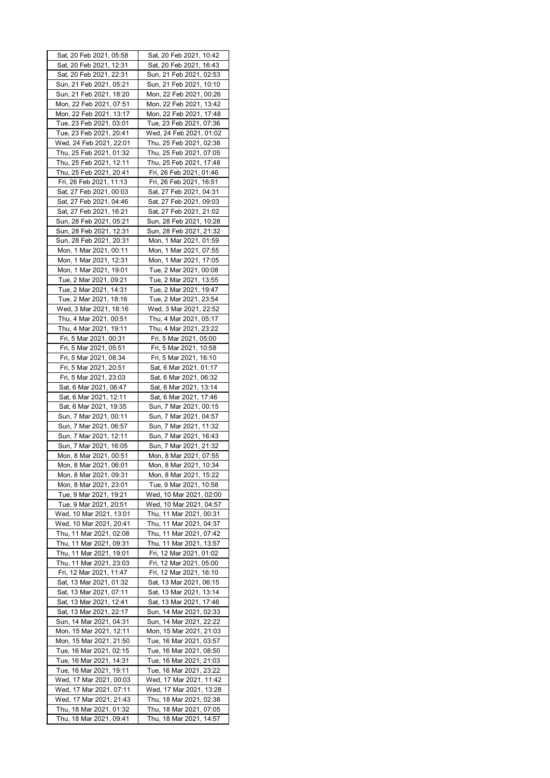| Sat, 20 Feb 2021, 05:58 | Sat, 20 Feb 2021, 10:42   |
|-------------------------|---------------------------|
| Sat, 20 Feb 2021, 12:31 | Sat, 20 Feb 2021, 16:43   |
| Sat, 20 Feb 2021, 22:31 | Sun, 21 Feb 2021, 02:53   |
| Sun, 21 Feb 2021, 05:21 | Sun, 21 Feb 2021, 10:10   |
| Sun, 21 Feb 2021, 18:20 | Mon, 22 Feb 2021, 00:26   |
|                         |                           |
| Mon, 22 Feb 2021, 07:51 | Mon, 22 Feb 2021, 13:42   |
| Mon, 22 Feb 2021, 13:17 | Mon, 22 Feb 2021, 17:48   |
| Tue, 23 Feb 2021, 03:01 | Tue, 23 Feb 2021, 07:36   |
| Tue, 23 Feb 2021, 20:41 | Wed, 24 Feb 2021, 01:02   |
| Wed, 24 Feb 2021, 22:01 | Thu, 25 Feb 2021, 02:38   |
| Thu, 25 Feb 2021, 01:32 | Thu, 25 Feb 2021, 07:05   |
| Thu, 25 Feb 2021, 12:11 | Thu, 25 Feb 2021, 17:48   |
| Thu, 25 Feb 2021, 20:41 | Fri, 26 Feb 2021, 01:46   |
|                         |                           |
| Fri, 26 Feb 2021, 11:13 | Fri, 26 Feb 2021, 16:51   |
| Sat, 27 Feb 2021, 00:03 | Sat, 27 Feb 2021, 04:31   |
| Sat, 27 Feb 2021, 04:46 | Sat, 27 Feb 2021, 09:03   |
| Sat, 27 Feb 2021, 16:21 | Sat, 27 Feb 2021, 21:02   |
| Sun, 28 Feb 2021, 05:21 | Sun, 28 Feb 2021, 10:28   |
| Sun, 28 Feb 2021, 12:31 | Sun, 28 Feb 2021, 21:32   |
| Sun, 28 Feb 2021, 20:31 | Mon, 1 Mar 2021, 01:59    |
|                         |                           |
| Mon, 1 Mar 2021, 00:11  | Mon, 1 Mar 2021, 07:55    |
| Mon, 1 Mar 2021, 12:31  | Mon, 1 Mar 2021, 17:05    |
| Mon, 1 Mar 2021, 19:01  | Tue, 2 Mar 2021, 00:08    |
| Tue, 2 Mar 2021, 09:21  | Tue, 2 Mar 2021, 13:55    |
| Tue, 2 Mar 2021, 14:31  | Tue, 2 Mar 2021, 19:47    |
| Tue, 2 Mar 2021, 18:16  | Tue, 2 Mar 2021, 23:54    |
| Wed, 3 Mar 2021, 18:16  | Wed, 3 Mar 2021, 22:52    |
| Thu, 4 Mar 2021, 00:51  | Thu, 4 Mar 2021, 05:17    |
| Thu, 4 Mar 2021, 19:11  | Thu, 4 Mar 2021, 23:22    |
|                         |                           |
| Fri, 5 Mar 2021, 00:31  | Fri, 5 Mar 2021, 05:00    |
| Fri, 5 Mar 2021, 05:51  | Fri, 5 Mar 2021, 10:58    |
| Fri, 5 Mar 2021, 08:34  | Fri, 5 Mar 2021, 16:10    |
| Fri, 5 Mar 2021, 20:51  | Sat, 6 Mar 2021, 01:17    |
| Fri, 5 Mar 2021, 23:03  | Sat, 6 Mar 2021, 06:32    |
| Sat, 6 Mar 2021, 06:47  | Sat, 6 Mar 2021, 13:14    |
| Sat, 6 Mar 2021, 12:11  | Sat, 6 Mar 2021, 17:46    |
| Sat, 6 Mar 2021, 19:35  | Sun, 7 Mar 2021, 00:15    |
| Sun, 7 Mar 2021, 00:11  |                           |
|                         | Sun, 7 Mar 2021, 04:57    |
| Sun, 7 Mar 2021, 06:57  | Sun, 7 Mar 2021, 11:32    |
| Sun, 7 Mar 2021, 12:11  | Sun, 7 Mar 2021, 16:43    |
| Sun, 7 Mar 2021, 16:05  | Sun, 7 Mar 2021, 21:32    |
| Mon, 8 Mar 2021, 00:51  | Mon, 8 Mar 2021, 07:55    |
| Mon, 8 Mar 2021, 06:01  | Mon, 8 Mar 2021,<br>10:34 |
| Mon, 8 Mar 2021, 09:31  | Mon, 8 Mar 2021, 15:22    |
| Mon, 8 Mar 2021, 23:01  | Tue, 9 Mar 2021, 10:58    |
| Tue, 9 Mar 2021, 19:21  | Wed, 10 Mar 2021, 02:00   |
|                         |                           |
| Tue, 9 Mar 2021, 20:51  | Wed, 10 Mar 2021, 04:57   |
| Wed, 10 Mar 2021, 13:01 | Thu, 11 Mar 2021, 00:31   |
| Wed, 10 Mar 2021, 20:41 | Thu, 11 Mar 2021, 04:37   |
| Thu, 11 Mar 2021, 02:08 | Thu, 11 Mar 2021, 07:42   |
| Thu, 11 Mar 2021, 09:31 | Thu, 11 Mar 2021, 13:57   |
| Thu, 11 Mar 2021, 19:01 | Fri, 12 Mar 2021, 01:02   |
| Thu, 11 Mar 2021, 23:03 | Fri, 12 Mar 2021, 05:00   |
| Fri, 12 Mar 2021, 11:47 | Fri, 12 Mar 2021, 16:10   |
| Sat, 13 Mar 2021, 01:32 | Sat, 13 Mar 2021, 06:15   |
|                         |                           |
| Sat, 13 Mar 2021, 07:11 | Sat, 13 Mar 2021, 13:14   |
| Sat, 13 Mar 2021, 12:41 | Sat, 13 Mar 2021, 17:46   |
| Sat, 13 Mar 2021, 22:17 | Sun, 14 Mar 2021, 02:33   |
| Sun, 14 Mar 2021, 04:31 | Sun, 14 Mar 2021, 22:22   |
| Mon, 15 Mar 2021, 12:11 | Mon, 15 Mar 2021, 21:03   |
| Mon, 15 Mar 2021, 21:50 | Tue, 16 Mar 2021, 03:57   |
| Tue, 16 Mar 2021, 02:15 | Tue, 16 Mar 2021, 08:50   |
| Tue, 16 Mar 2021, 14:31 | Tue, 16 Mar 2021, 21:03   |
| Tue, 16 Mar 2021, 19:11 | Tue, 16 Mar 2021, 23:22   |
|                         |                           |
| Wed, 17 Mar 2021, 00:03 |                           |
|                         | Wed, 17 Mar 2021, 11:42   |
| Wed, 17 Mar 2021, 07:11 | Wed, 17 Mar 2021, 13:28   |
| Wed, 17 Mar 2021, 21:43 | Thu, 18 Mar 2021, 02:38   |
| Thu, 18 Mar 2021, 01:32 | Thu, 18 Mar 2021, 07:05   |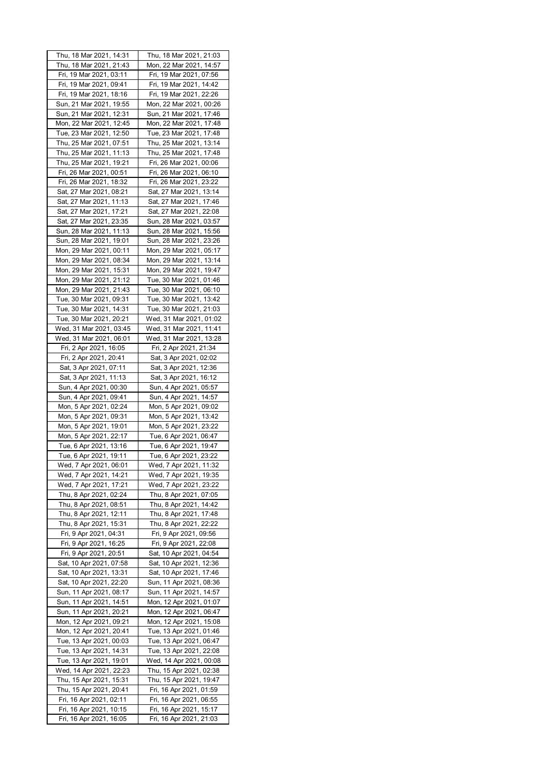| Thu, 18 Mar 2021, 14:31 | Thu, 18 Mar 2021, 21:03 |
|-------------------------|-------------------------|
| Thu, 18 Mar 2021, 21:43 | Mon, 22 Mar 2021, 14:57 |
| Fri, 19 Mar 2021, 03:11 | Fri, 19 Mar 2021, 07:56 |
| Fri, 19 Mar 2021, 09:41 | Fri, 19 Mar 2021, 14:42 |
|                         |                         |
| Fri, 19 Mar 2021, 18:16 | Fri, 19 Mar 2021, 22:26 |
| Sun, 21 Mar 2021, 19:55 | Mon, 22 Mar 2021, 00:26 |
| Sun, 21 Mar 2021, 12:31 | Sun, 21 Mar 2021, 17:46 |
| Mon, 22 Mar 2021, 12:45 | Mon, 22 Mar 2021, 17:48 |
| Tue, 23 Mar 2021, 12:50 | Tue, 23 Mar 2021, 17:48 |
| Thu, 25 Mar 2021, 07:51 | Thu, 25 Mar 2021, 13:14 |
| Thu, 25 Mar 2021, 11:13 |                         |
|                         | Thu, 25 Mar 2021, 17:48 |
| Thu, 25 Mar 2021, 19:21 | Fri, 26 Mar 2021, 00:06 |
| Fri, 26 Mar 2021, 00:51 | Fri, 26 Mar 2021, 06:10 |
| Fri, 26 Mar 2021, 18:32 | Fri, 26 Mar 2021, 23:22 |
| Sat, 27 Mar 2021, 08:21 | Sat, 27 Mar 2021, 13:14 |
| Sat, 27 Mar 2021, 11:13 | Sat, 27 Mar 2021, 17:46 |
| Sat, 27 Mar 2021, 17:21 | Sat, 27 Mar 2021, 22:08 |
|                         |                         |
| Sat, 27 Mar 2021, 23:35 | Sun, 28 Mar 2021, 03:57 |
| Sun, 28 Mar 2021, 11:13 | Sun, 28 Mar 2021, 15:56 |
| Sun, 28 Mar 2021, 19:01 | Sun, 28 Mar 2021, 23:26 |
| Mon, 29 Mar 2021, 00:11 | Mon, 29 Mar 2021, 05:17 |
| Mon, 29 Mar 2021, 08:34 | Mon, 29 Mar 2021, 13:14 |
| Mon, 29 Mar 2021, 15:31 | Mon, 29 Mar 2021, 19:47 |
| Mon, 29 Mar 2021, 21:12 | Tue, 30 Mar 2021, 01:46 |
| Mon, 29 Mar 2021, 21:43 | Tue, 30 Mar 2021, 06:10 |
| Tue, 30 Mar 2021, 09:31 | Tue, 30 Mar 2021, 13:42 |
|                         | Tue, 30 Mar 2021, 21:03 |
| Tue, 30 Mar 2021, 14:31 |                         |
| Tue, 30 Mar 2021, 20:21 | Wed, 31 Mar 2021, 01:02 |
| Wed, 31 Mar 2021, 03:45 | Wed, 31 Mar 2021, 11:41 |
| Wed, 31 Mar 2021, 06:01 | Wed, 31 Mar 2021, 13:28 |
| Fri, 2 Apr 2021, 16:05  | Fri, 2 Apr 2021, 21:34  |
| Fri, 2 Apr 2021, 20:41  | Sat, 3 Apr 2021, 02:02  |
| Sat, 3 Apr 2021, 07:11  | Sat, 3 Apr 2021, 12:36  |
| Sat, 3 Apr 2021, 11:13  | Sat, 3 Apr 2021, 16:12  |
| Sun, 4 Apr 2021, 00:30  | Sun, 4 Apr 2021, 05:57  |
| Sun, 4 Apr 2021, 09:41  | Sun, 4 Apr 2021, 14:57  |
| Mon, 5 Apr 2021, 02:24  | Mon, 5 Apr 2021, 09:02  |
|                         |                         |
| Mon, 5 Apr 2021, 09:31  | Mon, 5 Apr 2021, 13:42  |
| Mon, 5 Apr 2021, 19:01  | Mon, 5 Apr 2021, 23:22  |
| Mon, 5 Apr 2021, 22:17  | Tue, 6 Apr 2021, 06:47  |
| Tue, 6 Apr 2021, 13:16  | Tue, 6 Apr 2021, 19:47  |
| Tue, 6 Apr 2021, 19:11  | Tue, 6 Apr 2021, 23:22  |
| Wed, 7 Apr 2021, 06:01  | Wed, 7 Apr 2021, 11:32  |
| Wed, 7 Apr 2021, 14:21  | Wed, 7 Apr 2021, 19:35  |
| Wed, 7 Apr 2021, 17:21  | Wed, 7 Apr 2021, 23:22  |
| Thu, 8 Apr 2021, 02:24  | Thu, 8 Apr 2021, 07:05  |
| Thu, 8 Apr 2021, 08:51  | Thu, 8 Apr 2021, 14:42  |
| Thu, 8 Apr 2021, 12:11  | Thu, 8 Apr 2021, 17:48  |
| Thu, 8 Apr 2021, 15:31  | Thu, 8 Apr 2021, 22:22  |
|                         |                         |
| Fri, 9 Apr 2021, 04:31  | Fri, 9 Apr 2021, 09:56  |
| Fri, 9 Apr 2021, 16:25  | Fri, 9 Apr 2021, 22:08  |
| Fri, 9 Apr 2021, 20:51  | Sat, 10 Apr 2021, 04:54 |
| Sat, 10 Apr 2021, 07:58 | Sat, 10 Apr 2021, 12:36 |
| Sat, 10 Apr 2021, 13:31 | Sat, 10 Apr 2021, 17:46 |
| Sat, 10 Apr 2021, 22:20 | Sun, 11 Apr 2021, 08:36 |
| Sun, 11 Apr 2021, 08:17 | Sun, 11 Apr 2021, 14:57 |
| Sun, 11 Apr 2021, 14:51 | Mon, 12 Apr 2021, 01:07 |
| Sun, 11 Apr 2021, 20:21 | Mon, 12 Apr 2021, 06:47 |
| Mon, 12 Apr 2021, 09:21 | Mon, 12 Apr 2021, 15:08 |
| Mon, 12 Apr 2021, 20:41 | Tue, 13 Apr 2021, 01:46 |
| Tue, 13 Apr 2021, 00:03 | Tue, 13 Apr 2021, 06:47 |
|                         |                         |
| Tue, 13 Apr 2021, 14:31 | Tue, 13 Apr 2021, 22:08 |
| Tue, 13 Apr 2021, 19:01 | Wed, 14 Apr 2021, 00:08 |
|                         |                         |
| Wed, 14 Apr 2021, 22:23 | Thu, 15 Apr 2021, 02:38 |
| Thu, 15 Apr 2021, 15:31 | Thu, 15 Apr 2021, 19:47 |
| Thu, 15 Apr 2021, 20:41 | Fri, 16 Apr 2021, 01:59 |
| Fri, 16 Apr 2021, 02:11 | Fri, 16 Apr 2021, 06:55 |
| Fri, 16 Apr 2021, 10:15 | Fri, 16 Apr 2021, 15:17 |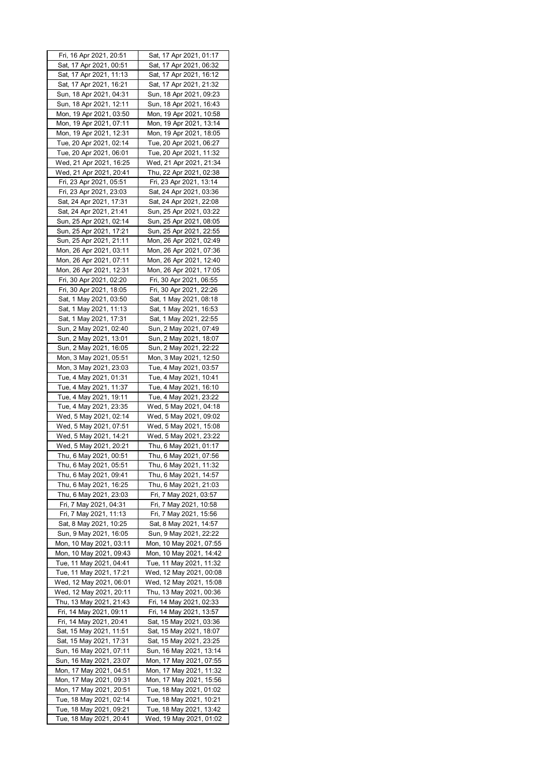| Fri, 16 Apr 2021, 20:51                            | Sat, 17 Apr 2021, 01:17                            |
|----------------------------------------------------|----------------------------------------------------|
| Sat, 17 Apr 2021, 00:51                            | Sat, 17 Apr 2021, 06:32                            |
| Sat, 17 Apr 2021, 11:13                            | Sat, 17 Apr 2021, 16:12                            |
| Sat, 17 Apr 2021, 16:21                            | Sat, 17 Apr 2021, 21:32                            |
| Sun, 18 Apr 2021, 04:31                            | Sun, 18 Apr 2021, 09:23                            |
| Sun, 18 Apr 2021, 12:11                            | Sun, 18 Apr 2021, 16:43                            |
| Mon, 19 Apr 2021, 03:50                            | Mon, 19 Apr 2021, 10:58                            |
| Mon, 19 Apr 2021, 07:11                            | Mon, 19 Apr 2021, 13:14                            |
| Mon, 19 Apr 2021, 12:31                            | Mon, 19 Apr 2021, 18:05                            |
| Tue, 20 Apr 2021, 02:14                            | Tue, 20 Apr 2021, 06:27                            |
| Tue, 20 Apr 2021, 06:01                            | Tue, 20 Apr 2021, 11:32                            |
| Wed, 21 Apr 2021, 16:25                            | Wed, 21 Apr 2021, 21:34                            |
| Wed, 21 Apr 2021, 20:41                            | Thu, 22 Apr 2021, 02:38                            |
| Fri, 23 Apr 2021, 05:51                            | Fri, 23 Apr 2021, 13:14                            |
| Fri, 23 Apr 2021, 23:03                            | Sat, 24 Apr 2021, 03:36                            |
| Sat, 24 Apr 2021, 17:31                            | Sat, 24 Apr 2021, 22:08                            |
| Sat, 24 Apr 2021, 21:41                            | Sun, 25 Apr 2021, 03:22                            |
| Sun, 25 Apr 2021, 02:14                            | Sun, 25 Apr 2021, 08:05<br>Sun, 25 Apr 2021, 22:55 |
| Sun, 25 Apr 2021, 17:21<br>Sun, 25 Apr 2021, 21:11 | Mon, 26 Apr 2021, 02:49                            |
|                                                    |                                                    |
| Mon, 26 Apr 2021, 03:11<br>Mon, 26 Apr 2021, 07:11 | Mon, 26 Apr 2021, 07:36<br>Mon, 26 Apr 2021, 12:40 |
| Mon, 26 Apr 2021, 12:31                            | Mon, 26 Apr 2021, 17:05                            |
| Fri, 30 Apr 2021, 02:20                            | Fri, 30 Apr 2021, 06:55                            |
| Fri, 30 Apr 2021, 18:05                            | Fri, 30 Apr 2021, 22:26                            |
| Sat, 1 May 2021, 03:50                             | Sat, 1 May 2021, 08:18                             |
| Sat, 1 May 2021, 11:13                             | Sat, 1 May 2021, 16:53                             |
| Sat, 1 May 2021, 17:31                             | Sat, 1 May 2021, 22:55                             |
| Sun, 2 May 2021, 02:40                             | Sun, 2 May 2021, 07:49                             |
| Sun, 2 May 2021, 13:01                             | Sun, 2 May 2021, 18:07                             |
| Sun, 2 May 2021, 16:05                             | Sun, 2 May 2021, 22:22                             |
| Mon, 3 May 2021, 05:51                             | Mon, 3 May 2021, 12:50                             |
| Mon, 3 May 2021, 23:03                             | Tue, 4 May 2021, 03:57                             |
| Tue, 4 May 2021, 01:31                             | Tue, 4 May 2021, 10:41                             |
| Tue, 4 May 2021, 11:37                             | Tue, 4 May 2021, 16:10                             |
| Tue, 4 May 2021, 19:11                             | Tue, 4 May 2021, 23:22                             |
| Tue, 4 May 2021, 23:35                             | Wed, 5 May 2021, 04:18                             |
| Wed, 5 May 2021, 02:14                             | Wed, 5 May 2021, 09:02                             |
| Wed, 5 May 2021, 07:51                             | Wed, 5 May 2021, 15:08                             |
| Wed, 5 May 2021, 14:21                             | Wed, 5 May 2021, 23:22                             |
| Wed, 5 May 2021, 20:21                             | Thu, 6 May 2021, 01:17                             |
| Thu, 6 May 2021, 00:51                             | Thu, 6 May 2021, 07:56                             |
| Thu, 6 May 2021, 05:51                             | Thu, 6 May 2021, 11:32                             |
| Thu, 6 May 2021, 09:41                             | Thu, 6 May 2021, 14:57                             |
| Thu, 6 May 2021, 16:25                             | Thu, 6 May 2021, 21:03                             |
| Thu, 6 May 2021, 23:03                             | Fri, 7 May 2021, 03:57                             |
| Fri, 7 May 2021, 04:31                             | Fri, 7 May 2021, 10:58                             |
| Fri, 7 May 2021, 11:13                             | Fri, 7 May 2021, 15:56                             |
| Sat, 8 May 2021, 10:25                             | Sat, 8 May 2021, 14:57                             |
| Sun, 9 May 2021, 16:05                             | Sun, 9 May 2021, 22:22                             |
| Mon, 10 May 2021, 03:11                            | Mon, 10 May 2021, 07:55                            |
| Mon, 10 May 2021, 09:43                            | Mon, 10 May 2021, 14:42                            |
| Tue, 11 May 2021, 04:41                            | Tue, 11 May 2021, 11:32                            |
| Tue, 11 May 2021, 17:21                            | Wed, 12 May 2021, 00:08                            |
| Wed, 12 May 2021, 06:01                            | Wed, 12 May 2021, 15:08                            |
| Wed, 12 May 2021, 20:11                            | Thu, 13 May 2021, 00:36                            |
| Thu, 13 May 2021, 21:43                            | Fri, 14 May 2021, 02:33                            |
| Fri, 14 May 2021, 09:11                            | Fri, 14 May 2021, 13:57                            |
| Fri, 14 May 2021, 20:41                            | Sat, 15 May 2021, 03:36                            |
| Sat, 15 May 2021, 11:51                            | Sat, 15 May 2021, 18:07                            |
| Sat, 15 May 2021, 17:31                            | Sat, 15 May 2021, 23:25                            |
| Sun, 16 May 2021, 07:11                            | Sun, 16 May 2021, 13:14                            |
| Sun, 16 May 2021, 23:07                            | Mon, 17 May 2021, 07:55                            |
| Mon, 17 May 2021, 04:51                            | Mon, 17 May 2021, 11:32                            |
| Mon, 17 May 2021, 09:31<br>Mon, 17 May 2021, 20:51 | Mon, 17 May 2021, 15:56<br>Tue, 18 May 2021, 01:02 |
| Tue, 18 May 2021, 02:14                            |                                                    |
| Tue, 18 May 2021, 09:21                            | Tue, 18 May 2021, 10:21<br>Tue, 18 May 2021, 13:42 |
| Tue, 18 May 2021, 20:41                            | Wed, 19 May 2021, 01:02                            |
|                                                    |                                                    |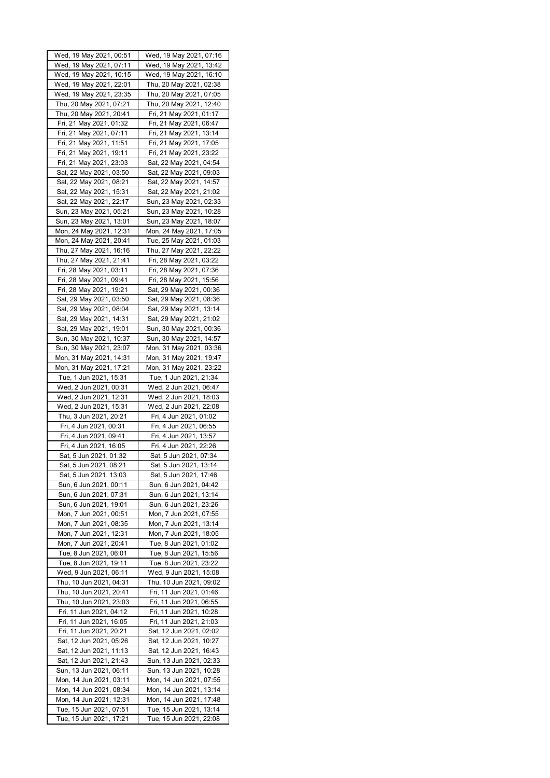| Wed, 19 May 2021, 00:51                            | Wed, 19 May 2021, 07:16                            |
|----------------------------------------------------|----------------------------------------------------|
| Wed, 19 May 2021, 07:11                            | Wed, 19 May 2021, 13:42                            |
| Wed, 19 May 2021, 10:15                            | Wed, 19 May 2021, 16:10                            |
| Wed, 19 May 2021, 22:01                            | Thu, 20 May 2021, 02:38                            |
| Wed, 19 May 2021, 23:35                            | Thu, 20 May 2021, 07:05                            |
| Thu, 20 May 2021, 07:21                            | Thu, 20 May 2021, 12:40                            |
| Thu, 20 May 2021, 20:41                            | Fri, 21 May 2021, 01:17                            |
| Fri, 21 May 2021, 01:32                            | Fri, 21 May 2021, 06:47                            |
| Fri, 21 May 2021, 07:11                            | Fri, 21 May 2021, 13:14                            |
| Fri, 21 May 2021, 11:51                            | Fri, 21 May 2021, 17:05                            |
| Fri, 21 May 2021, 19:11                            | Fri, 21 May 2021, 23:22                            |
| Fri, 21 May 2021, 23:03                            | Sat, 22 May 2021, 04:54                            |
|                                                    |                                                    |
| Sat, 22 May 2021, 03:50                            | Sat, 22 May 2021, 09:03                            |
| Sat, 22 May 2021, 08:21<br>Sat, 22 May 2021, 15:31 | Sat, 22 May 2021, 14:57                            |
|                                                    | Sat, 22 May 2021, 21:02                            |
| Sat, 22 May 2021, 22:17                            | Sun, 23 May 2021, 02:33                            |
| Sun, 23 May 2021, 05:21                            | Sun, 23 May 2021, 10:28                            |
| Sun, 23 May 2021, 13:01                            | Sun, 23 May 2021, 18:07                            |
| Mon, 24 May 2021, 12:31                            | Mon, 24 May 2021, 17:05                            |
| Mon, 24 May 2021, 20:41                            | Tue, 25 May 2021, 01:03                            |
| Thu, 27 May 2021, 16:16                            | Thu, 27 May 2021, 22:22                            |
| Thu, 27 May 2021, 21:41                            | Fri, 28 May 2021, 03:22                            |
| Fri, 28 May 2021, 03:11                            | Fri, 28 May 2021, 07:36                            |
| Fri, 28 May 2021, 09:41                            | Fri, 28 May 2021, 15:56                            |
| Fri, 28 May 2021, 19:21                            | Sat, 29 May 2021, 00:36                            |
| Sat, 29 May 2021, 03:50                            | Sat, 29 May 2021, 08:36                            |
| Sat, 29 May 2021, 08:04                            | Sat, 29 May 2021, 13:14                            |
| Sat, 29 May 2021, 14:31                            | Sat, 29 May 2021, 21:02                            |
| Sat, 29 May 2021, 19:01                            | Sun, 30 May 2021, 00:36                            |
| Sun, 30 May 2021, 10:37                            | Sun, 30 May 2021, 14:57                            |
| Sun, 30 May 2021, 23:07                            | Mon, 31 May 2021, 03:36                            |
| Mon, 31 May 2021, 14:31                            | Mon, 31 May 2021, 19:47                            |
| Mon, 31 May 2021, 17:21                            | Mon, 31 May 2021, 23:22                            |
| Tue, 1 Jun 2021, 15:31                             | Tue, 1 Jun 2021, 21:34                             |
| Wed, 2 Jun 2021, 00:31                             | Wed, 2 Jun 2021, 06:47                             |
| Wed, 2 Jun 2021, 12:31                             | Wed, 2 Jun 2021, 18:03                             |
| Wed, 2 Jun 2021, 15:31                             | Wed, 2 Jun 2021, 22:08                             |
| Thu, 3 Jun 2021, 20:21                             | Fri, 4 Jun 2021, 01:02                             |
| Fri, 4 Jun 2021, 00:31                             | Fri, 4 Jun 2021, 06:55                             |
| Fri, 4 Jun 2021, 09:41                             | Fri, 4 Jun 2021, 13:57                             |
| Fri, 4 Jun 2021, 16:05                             | Fri, 4 Jun 2021, 22:26                             |
| Sat, 5 Jun 2021, 01:32                             | Sat, 5 Jun 2021, 07:34                             |
| Sat, 5 Jun 2021, 08:21                             | Sat, 5 Jun 2021, 13:14                             |
| Sat, 5 Jun 2021, 13:03                             | Sat, 5 Jun 2021, 17:46                             |
| Sun, 6 Jun 2021, 00:11                             | Sun, 6 Jun 2021, 04:42                             |
| Sun, 6 Jun 2021, 07:31                             | Sun, 6 Jun 2021, 13:14                             |
| Sun, 6 Jun 2021, 19:01                             | Sun, 6 Jun 2021, 23:26                             |
| Mon, 7 Jun 2021, 00:51                             | Mon, 7 Jun 2021, 07:55                             |
| Mon, 7 Jun 2021, 08:35                             | Mon, 7 Jun 2021, 13:14                             |
| Mon, 7 Jun 2021, 12:31                             | Mon, 7 Jun 2021, 18:05                             |
| Mon, 7 Jun 2021, 20:41                             | Tue, 8 Jun 2021, 01:02                             |
| Tue, 8 Jun 2021, 06:01                             | Tue, 8 Jun 2021, 15:56                             |
| Tue, 8 Jun 2021, 19:11                             | Tue, 8 Jun 2021, 23:22                             |
| Wed, 9 Jun 2021, 06:11                             | Wed, 9 Jun 2021, 15:08                             |
| Thu, 10 Jun 2021, 04:31                            | Thu, 10 Jun 2021, 09:02                            |
| Thu, 10 Jun 2021, 20:41                            | Fri, 11 Jun 2021, 01:46                            |
| Thu, 10 Jun 2021, 23:03                            | Fri, 11 Jun 2021, 06:55                            |
| Fri, 11 Jun 2021, 04:12                            | Fri, 11 Jun 2021, 10:28                            |
|                                                    |                                                    |
| Fri, 11 Jun 2021, 16:05<br>Fri, 11 Jun 2021, 20:21 | Fri, 11 Jun 2021, 21:03<br>Sat, 12 Jun 2021, 02:02 |
| Sat, 12 Jun 2021, 05:26                            | Sat, 12 Jun 2021, 10:27                            |
|                                                    |                                                    |
|                                                    |                                                    |
| Sat, 12 Jun 2021, 11:13                            | Sat, 12 Jun 2021, 16:43                            |
| Sat, 12 Jun 2021, 21:43                            | Sun, 13 Jun 2021, 02:33                            |
| Sun, 13 Jun 2021, 06:11                            | Sun, 13 Jun 2021, 10:28                            |
| Mon, 14 Jun 2021, 03:11                            | Mon, 14 Jun 2021, 07:55                            |
| Mon, 14 Jun 2021, 08:34                            | Mon, 14 Jun 2021, 13:14                            |
| Mon, 14 Jun 2021, 12:31                            | Mon, 14 Jun 2021, 17:48                            |
| Tue, 15 Jun 2021, 07:51<br>Tue, 15 Jun 2021, 17:21 | Tue, 15 Jun 2021, 13:14<br>Tue, 15 Jun 2021, 22:08 |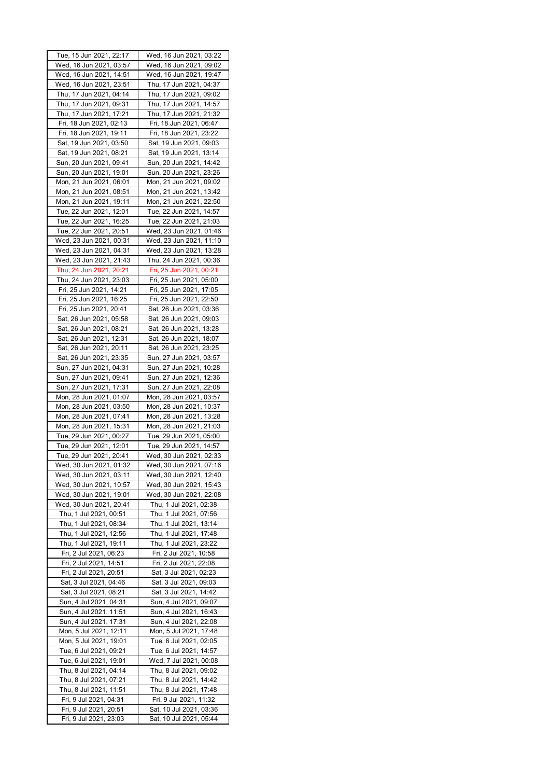| Tue, 15 Jun 2021, 22:17 | Wed, 16 Jun 2021, 03:22 |
|-------------------------|-------------------------|
| Wed, 16 Jun 2021, 03:57 | Wed, 16 Jun 2021, 09:02 |
| Wed, 16 Jun 2021, 14:51 | Wed, 16 Jun 2021, 19:47 |
| Wed, 16 Jun 2021, 23:51 | Thu, 17 Jun 2021, 04:37 |
| Thu, 17 Jun 2021, 04:14 | Thu, 17 Jun 2021, 09:02 |
|                         |                         |
| Thu, 17 Jun 2021, 09:31 | Thu, 17 Jun 2021, 14:57 |
| Thu, 17 Jun 2021, 17:21 | Thu, 17 Jun 2021, 21:32 |
| Fri, 18 Jun 2021, 02:13 | Fri, 18 Jun 2021, 06:47 |
| Fri, 18 Jun 2021, 19:11 | Fri, 18 Jun 2021, 23:22 |
| Sat, 19 Jun 2021, 03:50 | Sat, 19 Jun 2021, 09:03 |
| Sat, 19 Jun 2021, 08:21 | Sat, 19 Jun 2021, 13:14 |
| Sun, 20 Jun 2021, 09:41 | Sun, 20 Jun 2021, 14:42 |
| Sun, 20 Jun 2021, 19:01 | Sun, 20 Jun 2021, 23:26 |
| Mon, 21 Jun 2021, 06:01 | Mon, 21 Jun 2021, 09:02 |
|                         |                         |
| Mon, 21 Jun 2021, 08:51 | Mon, 21 Jun 2021, 13:42 |
| Mon, 21 Jun 2021, 19:11 | Mon, 21 Jun 2021, 22:50 |
| Tue, 22 Jun 2021, 12:01 | Tue, 22 Jun 2021, 14:57 |
| Tue, 22 Jun 2021, 16:25 | Tue, 22 Jun 2021, 21:03 |
| Tue, 22 Jun 2021, 20:51 | Wed, 23 Jun 2021, 01:46 |
| Wed, 23 Jun 2021, 00:31 | Wed, 23 Jun 2021, 11:10 |
| Wed, 23 Jun 2021, 04:31 | Wed, 23 Jun 2021, 13:28 |
| Wed, 23 Jun 2021, 21:43 | Thu, 24 Jun 2021, 00:36 |
| Thu, 24 Jun 2021, 20:21 | Fri, 25 Jun 2021, 00:21 |
| Thu, 24 Jun 2021, 23:03 | Fri, 25 Jun 2021, 05:00 |
|                         |                         |
| Fri, 25 Jun 2021, 14:21 | Fri, 25 Jun 2021, 17:05 |
| Fri, 25 Jun 2021, 16:25 | Fri, 25 Jun 2021, 22:50 |
| Fri, 25 Jun 2021, 20:41 | Sat, 26 Jun 2021, 03:36 |
| Sat, 26 Jun 2021, 05:58 | Sat, 26 Jun 2021, 09:03 |
| Sat, 26 Jun 2021, 08:21 | Sat, 26 Jun 2021, 13:28 |
| Sat, 26 Jun 2021, 12:31 | Sat, 26 Jun 2021, 18:07 |
| Sat, 26 Jun 2021, 20:11 | Sat, 26 Jun 2021, 23:25 |
| Sat, 26 Jun 2021, 23:35 | Sun, 27 Jun 2021, 03:57 |
| Sun, 27 Jun 2021, 04:31 | Sun, 27 Jun 2021, 10:28 |
|                         |                         |
| Sun, 27 Jun 2021, 09:41 | Sun, 27 Jun 2021, 12:36 |
| Sun, 27 Jun 2021, 17:31 | Sun, 27 Jun 2021, 22:08 |
| Mon, 28 Jun 2021, 01:07 | Mon, 28 Jun 2021, 03:57 |
| Mon, 28 Jun 2021, 03:50 | Mon, 28 Jun 2021, 10:37 |
| Mon, 28 Jun 2021, 07:41 | Mon, 28 Jun 2021, 13:28 |
| Mon, 28 Jun 2021, 15:31 | Mon, 28 Jun 2021, 21:03 |
| Tue, 29 Jun 2021, 00:27 | Tue, 29 Jun 2021, 05:00 |
| Tue, 29 Jun 2021, 12:01 | Tue, 29 Jun 2021, 14:57 |
| Tue, 29 Jun 2021, 20:41 | Wed, 30 Jun 2021, 02:33 |
| Wed, 30 Jun 2021, 01:32 | Wed, 30 Jun 2021, 07:16 |
| Wed, 30 Jun 2021, 03:11 | Wed, 30 Jun 2021, 12:40 |
| Wed, 30 Jun 2021, 10:57 | Wed, 30 Jun 2021, 15:43 |
| Wed, 30 Jun 2021, 19:01 |                         |
|                         | Wed, 30 Jun 2021, 22:08 |
| Wed, 30 Jun 2021, 20:41 | Thu, 1 Jul 2021, 02:38  |
| Thu, 1 Jul 2021, 00:51  | Thu, 1 Jul 2021, 07:56  |
| Thu, 1 Jul 2021, 08:34  | Thu, 1 Jul 2021, 13:14  |
| Thu, 1 Jul 2021, 12:56  | Thu, 1 Jul 2021, 17:48  |
| Thu, 1 Jul 2021, 19:11  | Thu, 1 Jul 2021, 23:22  |
| Fri, 2 Jul 2021, 06:23  | Fri, 2 Jul 2021, 10:58  |
| Fri, 2 Jul 2021, 14:51  | Fri, 2 Jul 2021, 22:08  |
| Fri, 2 Jul 2021, 20:51  | Sat, 3 Jul 2021, 02:23  |
| Sat, 3 Jul 2021, 04:46  | Sat, 3 Jul 2021, 09:03  |
| Sat, 3 Jul 2021, 08:21  | Sat, 3 Jul 2021, 14:42  |
| Sun, 4 Jul 2021, 04:31  | Sun, 4 Jul 2021, 09:07  |
| Sun, 4 Jul 2021, 11:51  | Sun, 4 Jul 2021, 16:43  |
|                         | Sun, 4 Jul 2021, 22:08  |
| Sun, 4 Jul 2021, 17:31  |                         |
| Mon, 5 Jul 2021, 12:11  | Mon, 5 Jul 2021, 17:48  |
| Mon, 5 Jul 2021, 19:01  | Tue, 6 Jul 2021, 02:05  |
| Tue, 6 Jul 2021, 09:21  | Tue, 6 Jul 2021, 14:57  |
| Tue, 6 Jul 2021, 19:01  | Wed, 7 Jul 2021, 00:08  |
| Thu, 8 Jul 2021, 04:14  | Thu, 8 Jul 2021, 09:02  |
| Thu, 8 Jul 2021, 07:21  | Thu, 8 Jul 2021, 14:42  |
| Thu, 8 Jul 2021, 11:51  | Thu, 8 Jul 2021, 17:48  |
| Fri, 9 Jul 2021, 04:31  | Fri, 9 Jul 2021, 11:32  |
| Fri, 9 Jul 2021, 20:51  | Sat, 10 Jul 2021, 03:36 |
|                         | Sat, 10 Jul 2021, 05:44 |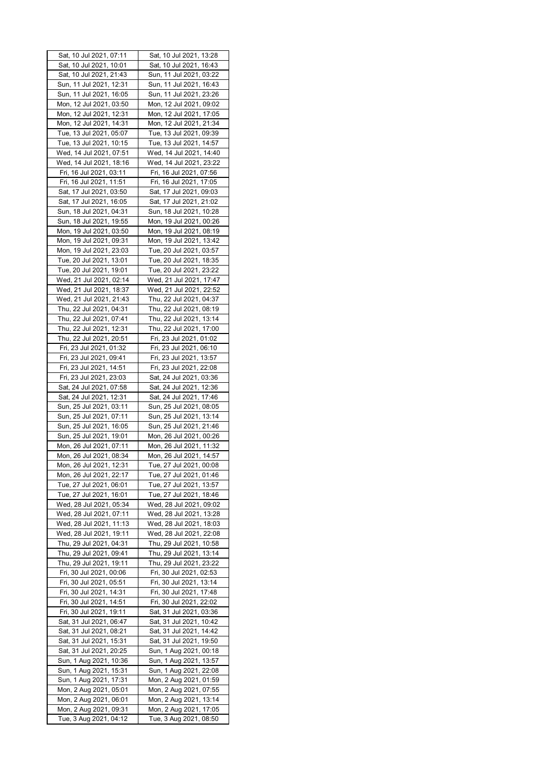| Sat, 10 Jul 2021, 07:11                            | Sat, 10 Jul 2021, 13:28                            |
|----------------------------------------------------|----------------------------------------------------|
| Sat, 10 Jul 2021, 10:01                            | Sat, 10 Jul 2021, 16:43                            |
| Sat, 10 Jul 2021, 21:43                            | Sun, 11 Jul 2021, 03:22                            |
| Sun, 11 Jul 2021, 12:31                            | Sun, 11 Jul 2021, 16:43                            |
| Sun, 11 Jul 2021, 16:05                            | Sun, 11 Jul 2021, 23:26                            |
| Mon, 12 Jul 2021, 03:50                            | Mon, 12 Jul 2021, 09:02                            |
| Mon, 12 Jul 2021, 12:31                            | Mon, 12 Jul 2021, 17:05                            |
| Mon, 12 Jul 2021, 14:31                            | Mon, 12 Jul 2021, 21:34                            |
| Tue, 13 Jul 2021, 05:07                            | Tue, 13 Jul 2021, 09:39                            |
| Tue, 13 Jul 2021, 10:15                            | Tue, 13 Jul 2021, 14:57                            |
| Wed, 14 Jul 2021, 07:51                            | Wed, 14 Jul 2021, 14:40                            |
| Wed, 14 Jul 2021, 18:16                            | Wed, 14 Jul 2021, 23:22                            |
| Fri, 16 Jul 2021, 03:11                            | Fri, 16 Jul 2021, 07:56                            |
| Fri, 16 Jul 2021, 11:51                            | Fri, 16 Jul 2021, 17:05                            |
| Sat, 17 Jul 2021, 03:50                            | Sat, 17 Jul 2021, 09:03                            |
| Sat, 17 Jul 2021, 16:05                            | Sat, 17 Jul 2021, 21:02                            |
| Sun, 18 Jul 2021, 04:31                            | Sun, 18 Jul 2021, 10:28                            |
| Sun, 18 Jul 2021, 19:55                            | Mon, 19 Jul 2021, 00:26                            |
| Mon, 19 Jul 2021, 03:50                            | Mon, 19 Jul 2021, 08:19                            |
| Mon, 19 Jul 2021, 09:31                            | Mon, 19 Jul 2021, 13:42                            |
| Mon, 19 Jul 2021, 23:03                            | Tue, 20 Jul 2021, 03:57                            |
| Tue, 20 Jul 2021, 13:01                            | Tue, 20 Jul 2021, 18:35                            |
| Tue, 20 Jul 2021, 19:01                            | Tue, 20 Jul 2021, 23:22                            |
| Wed, 21 Jul 2021, 02:14                            | Wed, 21 Jul 2021, 17:47                            |
| Wed, 21 Jul 2021, 18:37                            | Wed, 21 Jul 2021, 22:52                            |
| Wed, 21 Jul 2021, 21:43                            | Thu, 22 Jul 2021, 04:37                            |
| Thu, 22 Jul 2021, 04:31                            | Thu, 22 Jul 2021, 08:19                            |
| Thu, 22 Jul 2021, 07:41                            | Thu, 22 Jul 2021, 13:14                            |
| Thu, 22 Jul 2021, 12:31                            | Thu, 22 Jul 2021, 17:00                            |
| Thu, 22 Jul 2021, 20:51                            | Fri, 23 Jul 2021, 01:02                            |
| Fri, 23 Jul 2021, 01:32                            | Fri, 23 Jul 2021, 06:10                            |
| Fri, 23 Jul 2021, 09:41<br>Fri, 23 Jul 2021, 14:51 | Fri, 23 Jul 2021, 13:57<br>Fri, 23 Jul 2021, 22:08 |
| Fri, 23 Jul 2021, 23:03                            | Sat, 24 Jul 2021, 03:36                            |
| Sat, 24 Jul 2021, 07:58                            | Sat, 24 Jul 2021, 12:36                            |
| Sat, 24 Jul 2021, 12:31                            | Sat, 24 Jul 2021, 17:46                            |
| Sun, 25 Jul 2021, 03:11                            | Sun, 25 Jul 2021, 08:05                            |
| Sun, 25 Jul 2021, 07:11                            | Sun, 25 Jul 2021, 13:14                            |
| Sun, 25 Jul 2021, 16:05                            | Sun, 25 Jul 2021, 21:46                            |
| Sun, 25 Jul 2021, 19:01                            | Mon, 26 Jul 2021, 00:26                            |
| Mon, 26 Jul 2021, 07:11                            | Mon, 26 Jul 2021, 11:32                            |
| Mon, 26 Jul 2021, 08:34                            | Mon, 26 Jul 2021, 14:57                            |
| Mon, 26 Jul 2021,<br>12:31                         | Tue, 27 Jul 2021, 00:08                            |
| Mon, 26 Jul 2021, 22:17                            | Tue, 27 Jul 2021, 01:46                            |
| Tue, 27 Jul 2021, 06:01                            | Tue, 27 Jul 2021, 13:57                            |
| Tue, 27 Jul 2021, 16:01                            | Tue, 27 Jul 2021, 18:46                            |
| Wed, 28 Jul 2021, 05:34                            | Wed, 28 Jul 2021, 09:02                            |
| Wed, 28 Jul 2021, 07:11                            | Wed, 28 Jul 2021, 13:28                            |
| Wed, 28 Jul 2021, 11:13                            | Wed, 28 Jul 2021, 18:03                            |
| Wed, 28 Jul 2021, 19:11                            | Wed, 28 Jul 2021, 22:08                            |
| Thu, 29 Jul 2021, 04:31<br>Thu, 29 Jul 2021, 09:41 | Thu, 29 Jul 2021, 10:58<br>Thu, 29 Jul 2021, 13:14 |
| Thu, 29 Jul 2021, 19:11                            | Thu, 29 Jul 2021, 23:22                            |
| Fri, 30 Jul 2021, 00:06                            | Fri, 30 Jul 2021, 02:53                            |
| Fri, 30 Jul 2021, 05:51                            | Fri, 30 Jul 2021, 13:14                            |
| Fri, 30 Jul 2021, 14:31                            | Fri, 30 Jul 2021, 17:48                            |
| Fri, 30 Jul 2021, 14:51                            | Fri, 30 Jul 2021, 22:02                            |
| Fri, 30 Jul 2021, 19:11                            | Sat, 31 Jul 2021, 03:36                            |
| Sat, 31 Jul 2021, 06:47                            | Sat, 31 Jul 2021, 10:42                            |
| Sat, 31 Jul 2021, 08:21                            | Sat, 31 Jul 2021, 14:42                            |
| Sat, 31 Jul 2021, 15:31                            | Sat, 31 Jul 2021, 19:50                            |
| Sat, 31 Jul 2021, 20:25                            | Sun, 1 Aug 2021, 00:18                             |
| Sun, 1 Aug 2021, 10:36                             |                                                    |
|                                                    | Sun, 1 Aug 2021, 13:57                             |
| Sun, 1 Aug 2021, 15:31                             | Sun, 1 Aug 2021, 22:08                             |
| Sun, 1 Aug 2021, 17:31                             | Mon, 2 Aug 2021, 01:59                             |
| Mon, 2 Aug 2021, 05:01                             | Mon, 2 Aug 2021, 07:55                             |
| Mon, 2 Aug 2021, 06:01                             | Mon, 2 Aug 2021, 13:14                             |
| Mon, 2 Aug 2021, 09:31<br>Tue, 3 Aug 2021, 04:12   | Mon, 2 Aug 2021, 17:05<br>Tue, 3 Aug 2021, 08:50   |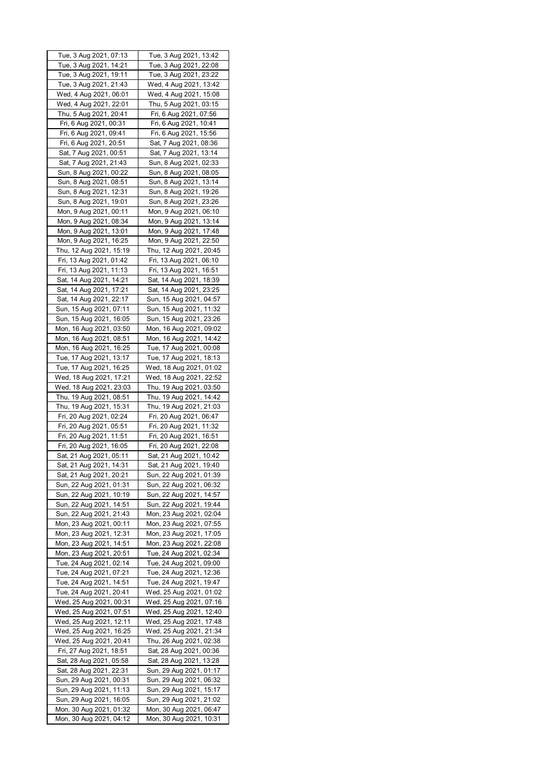| Tue, 3 Aug 2021, 07:13                             | Tue, 3 Aug 2021, 13:42                             |
|----------------------------------------------------|----------------------------------------------------|
| Tue, 3 Aug 2021, 14:21                             | Tue, 3 Aug 2021, 22:08                             |
| Tue, 3 Aug 2021, 19:11                             | Tue, 3 Aug 2021, 23:22                             |
| Tue, 3 Aug 2021, 21:43                             | Wed, 4 Aug 2021, 13:42                             |
| Wed, 4 Aug 2021, 06:01                             | Wed, 4 Aug 2021, 15:08                             |
| Wed, 4 Aug 2021, 22:01                             | Thu, 5 Aug 2021, 03:15                             |
| Thu, 5 Aug 2021, 20:41                             | Fri, 6 Aug 2021, 07:56                             |
| Fri, 6 Aug 2021, 00:31                             | Fri, 6 Aug 2021, 10:41                             |
| Fri, 6 Aug 2021, 09:41                             | Fri, 6 Aug 2021, 15:56                             |
| Fri, 6 Aug 2021, 20:51                             | Sat, 7 Aug 2021, 08:36                             |
| Sat, 7 Aug 2021, 00:51                             | Sat, 7 Aug 2021, 13:14                             |
| Sat, 7 Aug 2021, 21:43                             | Sun, 8 Aug 2021, 02:33                             |
| Sun, 8 Aug 2021, 00:22                             | Sun, 8 Aug 2021, 08:05                             |
| Sun, 8 Aug 2021, 08:51                             | Sun, 8 Aug 2021, 13:14                             |
| Sun, 8 Aug 2021, 12:31                             | Sun, 8 Aug 2021, 19:26                             |
| Sun, 8 Aug 2021, 19:01                             | Sun, 8 Aug 2021, 23:26                             |
| Mon, 9 Aug 2021, 00:11                             | Mon, 9 Aug 2021, 06:10                             |
| Mon, 9 Aug 2021, 08:34                             | Mon, 9 Aug 2021, 13:14                             |
| Mon, 9 Aug 2021, 13:01                             | Mon, 9 Aug 2021, 17:48                             |
| Mon, 9 Aug 2021, 16:25                             | Mon, 9 Aug 2021, 22:50                             |
| Thu, 12 Aug 2021, 15:19                            | Thu, 12 Aug 2021, 20:45                            |
| Fri, 13 Aug 2021, 01:42<br>Fri, 13 Aug 2021, 11:13 | Fri, 13 Aug 2021, 06:10                            |
| Sat, 14 Aug 2021, 14:21                            | Fri, 13 Aug 2021, 16:51<br>Sat, 14 Aug 2021, 18:39 |
| Sat, 14 Aug 2021, 17:21                            | Sat, 14 Aug 2021, 23:25                            |
| Sat, 14 Aug 2021, 22:17                            | Sun, 15 Aug 2021, 04:57                            |
| Sun, 15 Aug 2021, 07:11                            | Sun, 15 Aug 2021, 11:32                            |
| Sun, 15 Aug 2021, 16:05                            | Sun, 15 Aug 2021, 23:26                            |
| Mon, 16 Aug 2021, 03:50                            | Mon, 16 Aug 2021, 09:02                            |
| Mon, 16 Aug 2021, 08:51                            | Mon, 16 Aug 2021, 14:42                            |
| Mon, 16 Aug 2021, 16:25                            | Tue, 17 Aug 2021, 00:08                            |
| Tue, 17 Aug 2021, 13:17                            | Tue, 17 Aug 2021, 18:13                            |
| Tue, 17 Aug 2021, 16:25                            | Wed, 18 Aug 2021, 01:02                            |
| Wed, 18 Aug 2021, 17:21                            | Wed, 18 Aug 2021, 22:52                            |
| Wed, 18 Aug 2021, 23:03                            | Thu, 19 Aug 2021, 03:50                            |
| Thu, 19 Aug 2021, 08:51                            | Thu, 19 Aug 2021, 14:42                            |
| Thu, 19 Aug 2021, 15:31                            | Thu, 19 Aug 2021, 21:03                            |
| Fri, 20 Aug 2021, 02:24                            | Fri, 20 Aug 2021, 06:47                            |
| Fri, 20 Aug 2021, 05:51                            | Fri, 20 Aug 2021, 11:32                            |
| Fri, 20 Aug 2021, 11:51                            | Fri, 20 Aug 2021, 16:51                            |
| Fri, 20 Aug 2021, 16:05                            | Fri, 20 Aug 2021, 22:08                            |
| Sat, 21 Aug 2021, 05:11                            | Sat, 21 Aug 2021, 10:42                            |
| Sat, 21 Aug 2021, 14:31                            | Sat, 21 Aug 2021, 19:40                            |
| Sat, 21 Aug 2021, 20:21                            | Sun, 22 Aug 2021, 01:39                            |
| Sun, 22 Aug 2021, 01:31                            | Sun, 22 Aug 2021, 06:32                            |
| Sun, 22 Aug 2021, 10:19                            | Sun, 22 Aug 2021, 14:57                            |
| Sun, 22 Aug 2021, 14:51                            | Sun, 22 Aug 2021, 19:44                            |
| Sun, 22 Aug 2021, 21:43                            | Mon, 23 Aug 2021, 02:04                            |
| Mon, 23 Aug 2021, 00:11                            | Mon, 23 Aug 2021, 07:55                            |
|                                                    |                                                    |
| Mon, 23 Aug 2021, 12:31                            | Mon, 23 Aug 2021, 17:05                            |
| Mon, 23 Aug 2021, 14:51                            | Mon, 23 Aug 2021, 22:08                            |
| Mon, 23 Aug 2021, 20:51                            | Tue, 24 Aug 2021, 02:34                            |
| Tue, 24 Aug 2021, 02:14                            | Tue, 24 Aug 2021, 09:00                            |
| Tue, 24 Aug 2021, 07:21                            | Tue, 24 Aug 2021, 12:36                            |
| Tue, 24 Aug 2021, 14:51                            | Tue, 24 Aug 2021, 19:47                            |
| Tue, 24 Aug 2021, 20:41                            | Wed, 25 Aug 2021, 01:02                            |
| Wed, 25 Aug 2021, 00:31                            | Wed, 25 Aug 2021, 07:16                            |
| Wed, 25 Aug 2021, 07:51                            | Wed, 25 Aug 2021, 12:40                            |
| Wed, 25 Aug 2021, 12:11                            | Wed, 25 Aug 2021, 17:48                            |
| Wed, 25 Aug 2021, 16:25                            | Wed, 25 Aug 2021, 21:34                            |
| Wed, 25 Aug 2021, 20:41                            | Thu, 26 Aug 2021, 02:38                            |
| Fri, 27 Aug 2021, 18:51                            | Sat, 28 Aug 2021, 00:36                            |
| Sat, 28 Aug 2021, 05:58                            | Sat, 28 Aug 2021, 13:28                            |
| Sat, 28 Aug 2021, 22:31                            | Sun, 29 Aug 2021, 01:17                            |
| Sun, 29 Aug 2021, 00:31                            | Sun, 29 Aug 2021, 06:32                            |
| Sun, 29 Aug 2021, 11:13                            | Sun, 29 Aug 2021, 15:17                            |
| Sun, 29 Aug 2021, 16:05                            | Sun, 29 Aug 2021, 21:02                            |
| Mon, 30 Aug 2021, 01:32<br>Mon, 30 Aug 2021, 04:12 | Mon, 30 Aug 2021, 06:47<br>Mon, 30 Aug 2021, 10:31 |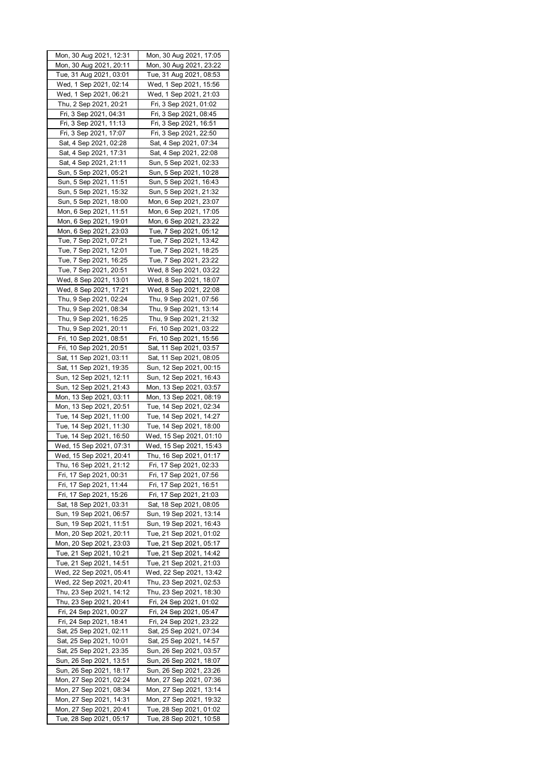| Mon, 30 Aug 2021, 12:31 | Mon, 30 Aug 2021, 17:05 |
|-------------------------|-------------------------|
| Mon, 30 Aug 2021, 20:11 | Mon, 30 Aug 2021, 23:22 |
| Tue, 31 Aug 2021, 03:01 | Tue, 31 Aug 2021, 08:53 |
| Wed, 1 Sep 2021, 02:14  | Wed, 1 Sep 2021, 15:56  |
| Wed, 1 Sep 2021, 06:21  | Wed, 1 Sep 2021, 21:03  |
| Thu, 2 Sep 2021, 20:21  | Fri, 3 Sep 2021, 01:02  |
| Fri, 3 Sep 2021, 04:31  | Fri, 3 Sep 2021, 08:45  |
| Fri, 3 Sep 2021, 11:13  | Fri, 3 Sep 2021, 16:51  |
| Fri, 3 Sep 2021, 17:07  | Fri, 3 Sep 2021, 22:50  |
| Sat, 4 Sep 2021, 02:28  | Sat, 4 Sep 2021, 07:34  |
| Sat, 4 Sep 2021, 17:31  | Sat, 4 Sep 2021, 22:08  |
| Sat, 4 Sep 2021, 21:11  | Sun, 5 Sep 2021, 02:33  |
|                         | Sun, 5 Sep 2021, 10:28  |
| Sun, 5 Sep 2021, 05:21  |                         |
| Sun, 5 Sep 2021, 11:51  | Sun, 5 Sep 2021, 16:43  |
| Sun, 5 Sep 2021, 15:32  | Sun, 5 Sep 2021, 21:32  |
| Sun, 5 Sep 2021, 18:00  | Mon, 6 Sep 2021, 23:07  |
| Mon, 6 Sep 2021, 11:51  | Mon, 6 Sep 2021, 17:05  |
| Mon, 6 Sep 2021, 19:01  | Mon, 6 Sep 2021, 23:22  |
| Mon, 6 Sep 2021, 23:03  | Tue, 7 Sep 2021, 05:12  |
| Tue, 7 Sep 2021, 07:21  | Tue, 7 Sep 2021, 13:42  |
| Tue, 7 Sep 2021, 12:01  | Tue, 7 Sep 2021, 18:25  |
| Tue, 7 Sep 2021, 16:25  | Tue, 7 Sep 2021, 23:22  |
| Tue, 7 Sep 2021, 20:51  | Wed, 8 Sep 2021, 03:22  |
| Wed, 8 Sep 2021, 13:01  | Wed, 8 Sep 2021, 18:07  |
| Wed, 8 Sep 2021, 17:21  | Wed, 8 Sep 2021, 22:08  |
| Thu, 9 Sep 2021, 02:24  | Thu, 9 Sep 2021, 07:56  |
| Thu, 9 Sep 2021, 08:34  | Thu, 9 Sep 2021, 13:14  |
| Thu, 9 Sep 2021, 16:25  | Thu, 9 Sep 2021, 21:32  |
| Thu, 9 Sep 2021, 20:11  | Fri, 10 Sep 2021, 03:22 |
| Fri, 10 Sep 2021, 08:51 | Fri, 10 Sep 2021, 15:56 |
| Fri, 10 Sep 2021, 20:51 | Sat, 11 Sep 2021, 03:57 |
| Sat, 11 Sep 2021, 03:11 | Sat, 11 Sep 2021, 08:05 |
| Sat, 11 Sep 2021, 19:35 | Sun, 12 Sep 2021, 00:15 |
| Sun, 12 Sep 2021, 12:11 | Sun, 12 Sep 2021, 16:43 |
| Sun, 12 Sep 2021, 21:43 | Mon, 13 Sep 2021, 03:57 |
| Mon, 13 Sep 2021, 03:11 | Mon, 13 Sep 2021, 08:19 |
| Mon, 13 Sep 2021, 20:51 | Tue, 14 Sep 2021, 02:34 |
| Tue, 14 Sep 2021, 11:00 | Tue, 14 Sep 2021, 14:27 |
| Tue, 14 Sep 2021, 11:30 | Tue, 14 Sep 2021, 18:00 |
| Tue, 14 Sep 2021, 16:50 | Wed, 15 Sep 2021, 01:10 |
| Wed, 15 Sep 2021, 07:31 | Wed, 15 Sep 2021, 15:43 |
| Wed, 15 Sep 2021, 20:41 | Thu, 16 Sep 2021, 01:17 |
| Thu, 16 Sep 2021, 21:12 | Fri, 17 Sep 2021, 02:33 |
| Fri, 17 Sep 2021, 00:31 | Fri, 17 Sep 2021, 07:56 |
| Fri, 17 Sep 2021, 11:44 | Fri, 17 Sep 2021, 16:51 |
| Fri, 17 Sep 2021, 15:26 | Fri, 17 Sep 2021, 21:03 |
| Sat, 18 Sep 2021, 03:31 | Sat, 18 Sep 2021, 08:05 |
| Sun, 19 Sep 2021, 06:57 | Sun, 19 Sep 2021, 13:14 |
| Sun, 19 Sep 2021, 11:51 | Sun, 19 Sep 2021, 16:43 |
| Mon, 20 Sep 2021, 20:11 | Tue, 21 Sep 2021, 01:02 |
| Mon, 20 Sep 2021, 23:03 | Tue, 21 Sep 2021, 05:17 |
| Tue, 21 Sep 2021, 10:21 | Tue, 21 Sep 2021, 14:42 |
| Tue, 21 Sep 2021, 14:51 | Tue, 21 Sep 2021, 21:03 |
|                         |                         |
| Wed, 22 Sep 2021, 05:41 | Wed, 22 Sep 2021, 13:42 |
| Wed, 22 Sep 2021, 20:41 | Thu, 23 Sep 2021, 02:53 |
| Thu, 23 Sep 2021, 14:12 | Thu, 23 Sep 2021, 18:30 |
| Thu, 23 Sep 2021, 20:41 | Fri, 24 Sep 2021, 01:02 |
| Fri, 24 Sep 2021, 00:27 | Fri, 24 Sep 2021, 05:47 |
| Fri, 24 Sep 2021, 18:41 | Fri, 24 Sep 2021, 23:22 |
| Sat, 25 Sep 2021, 02:11 | Sat, 25 Sep 2021, 07:34 |
| Sat, 25 Sep 2021, 10:01 | Sat, 25 Sep 2021, 14:57 |
| Sat, 25 Sep 2021, 23:35 | Sun, 26 Sep 2021, 03:57 |
| Sun, 26 Sep 2021, 13:51 | Sun, 26 Sep 2021, 18:07 |
| Sun, 26 Sep 2021, 18:17 | Sun, 26 Sep 2021, 23:26 |
| Mon, 27 Sep 2021, 02:24 | Mon, 27 Sep 2021, 07:36 |
| Mon, 27 Sep 2021, 08:34 | Mon, 27 Sep 2021, 13:14 |
| Mon, 27 Sep 2021, 14:31 | Mon, 27 Sep 2021, 19:32 |
| Mon, 27 Sep 2021, 20:41 | Tue, 28 Sep 2021, 01:02 |
| Tue, 28 Sep 2021, 05:17 | Tue, 28 Sep 2021, 10:58 |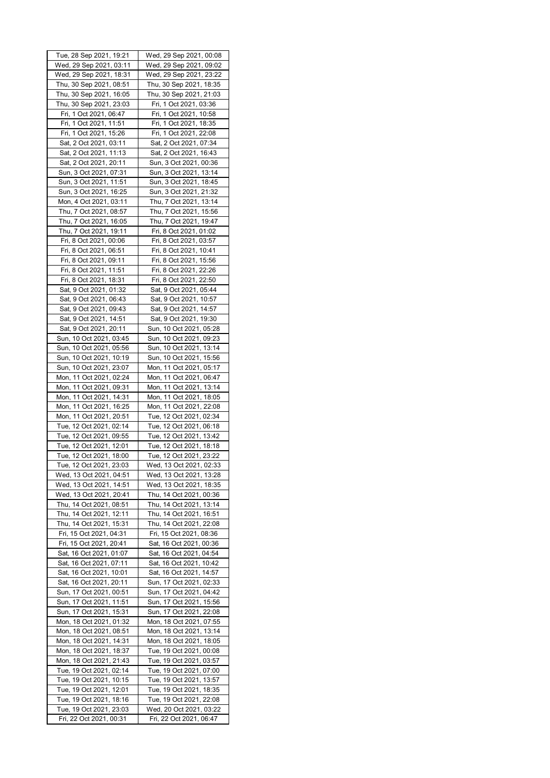| Tue, 28 Sep 2021, 19:21                            | Wed, 29 Sep 2021, 00:08                            |
|----------------------------------------------------|----------------------------------------------------|
| Wed, 29 Sep 2021, 03:11                            | Wed, 29 Sep 2021, 09:02                            |
| Wed, 29 Sep 2021, 18:31                            | Wed, 29 Sep 2021, 23:22                            |
| Thu, 30 Sep 2021, 08:51                            | Thu, 30 Sep 2021, 18:35                            |
| Thu, 30 Sep 2021, 16:05                            | Thu, 30 Sep 2021, 21:03                            |
| Thu, 30 Sep 2021, 23:03                            | Fri, 1 Oct 2021, 03:36                             |
| Fri, 1 Oct 2021, 06:47                             | Fri, 1 Oct 2021, 10:58                             |
| Fri, 1 Oct 2021, 11:51                             | Fri, 1 Oct 2021, 18:35                             |
| Fri, 1 Oct 2021, 15:26                             | Fri, 1 Oct 2021, 22:08                             |
| Sat, 2 Oct 2021, 03:11                             | Sat, 2 Oct 2021, 07:34                             |
| Sat, 2 Oct 2021, 11:13                             | Sat, 2 Oct 2021, 16:43                             |
| Sat, 2 Oct 2021, 20:11                             | Sun, 3 Oct 2021, 00:36                             |
| Sun, 3 Oct 2021, 07:31                             | Sun, 3 Oct 2021, 13:14                             |
| Sun, 3 Oct 2021, 11:51                             | Sun, 3 Oct 2021, 18:45                             |
| Sun, 3 Oct 2021, 16:25                             | Sun, 3 Oct 2021, 21:32                             |
| Mon, 4 Oct 2021, 03:11                             | Thu, 7 Oct 2021, 13:14                             |
| Thu, 7 Oct 2021, 08:57                             | Thu, 7 Oct 2021, 15:56                             |
| Thu, 7 Oct 2021, 16:05                             | Thu, 7 Oct 2021, 19:47                             |
| Thu, 7 Oct 2021, 19:11                             | Fri, 8 Oct 2021, 01:02                             |
| Fri, 8 Oct 2021, 00:06                             | Fri, 8 Oct 2021, 03:57                             |
| Fri, 8 Oct 2021, 06:51                             | Fri, 8 Oct 2021, 10:41                             |
| Fri, 8 Oct 2021, 09:11                             | Fri, 8 Oct 2021, 15:56                             |
| Fri, 8 Oct 2021, 11:51                             | Fri, 8 Oct 2021, 22:26                             |
| Fri, 8 Oct 2021, 18:31                             | Fri, 8 Oct 2021, 22:50                             |
| Sat, 9 Oct 2021, 01:32                             | Sat, 9 Oct 2021, 05:44                             |
| Sat, 9 Oct 2021, 06:43                             | Sat, 9 Oct 2021, 10:57                             |
| Sat, 9 Oct 2021, 09:43                             | Sat, 9 Oct 2021, 14:57                             |
| Sat, 9 Oct 2021, 14:51                             | Sat, 9 Oct 2021, 19:30                             |
| Sat, 9 Oct 2021, 20:11                             | Sun, 10 Oct 2021, 05:28                            |
| Sun, 10 Oct 2021, 03:45                            | Sun, 10 Oct 2021, 09:23                            |
| Sun, 10 Oct 2021, 05:56                            | Sun, 10 Oct 2021, 13:14                            |
| Sun, 10 Oct 2021, 10:19                            | Sun, 10 Oct 2021, 15:56                            |
| Sun, 10 Oct 2021, 23:07                            | Mon, 11 Oct 2021, 05:17                            |
| Mon, 11 Oct 2021, 02:24                            | Mon, 11 Oct 2021, 06:47                            |
| Mon, 11 Oct 2021, 09:31                            | Mon, 11 Oct 2021, 13:14                            |
| Mon, 11 Oct 2021, 14:31                            | Mon, 11 Oct 2021, 18:05                            |
| Mon, 11 Oct 2021, 16:25<br>Mon, 11 Oct 2021, 20:51 | Mon, 11 Oct 2021, 22:08<br>Tue, 12 Oct 2021, 02:34 |
| Tue, 12 Oct 2021, 02:14                            | Tue, 12 Oct 2021, 06:18                            |
| Tue, 12 Oct 2021, 09:55                            | Tue, 12 Oct 2021, 13:42                            |
| Tue, 12 Oct 2021, 12:01                            | Tue, 12 Oct 2021, 18:18                            |
| Tue, 12 Oct 2021, 18:00                            | Tue, 12 Oct 2021, 23:22                            |
| Tue, 12 Oct 2021, 23:03                            | Wed, 13 Oct 2021, 02:33                            |
| Wed, 13 Oct 2021, 04:51                            | Wed, 13 Oct 2021, 13:28                            |
| Wed, 13 Oct 2021, 14:51                            | Wed, 13 Oct 2021, 18:35                            |
| Wed, 13 Oct 2021, 20:41                            | Thu, 14 Oct 2021, 00:36                            |
| Thu, 14 Oct 2021, 08:51                            | Thu, 14 Oct 2021, 13:14                            |
| Thu, 14 Oct 2021, 12:11                            | Thu, 14 Oct 2021, 16:51                            |
| Thu, 14 Oct 2021, 15:31                            | Thu, 14 Oct 2021, 22:08                            |
| Fri, 15 Oct 2021, 04:31                            | Fri, 15 Oct 2021, 08:36                            |
| Fri, 15 Oct 2021, 20:41                            | Sat, 16 Oct 2021, 00:36                            |
| Sat, 16 Oct 2021, 01:07                            | Sat, 16 Oct 2021, 04:54                            |
| Sat, 16 Oct 2021, 07:11                            | Sat, 16 Oct 2021, 10:42                            |
| Sat, 16 Oct 2021, 10:01                            | Sat, 16 Oct 2021, 14:57                            |
| Sat, 16 Oct 2021, 20:11                            | Sun, 17 Oct 2021, 02:33                            |
| Sun, 17 Oct 2021, 00:51                            | Sun, 17 Oct 2021, 04:42                            |
| Sun, 17 Oct 2021, 11:51                            | Sun, 17 Oct 2021, 15:56                            |
| Sun, 17 Oct 2021, 15:31                            | Sun, 17 Oct 2021, 22:08                            |
| Mon, 18 Oct 2021, 01:32                            | Mon, 18 Oct 2021, 07:55                            |
| Mon, 18 Oct 2021, 08:51<br>Mon, 18 Oct 2021, 14:31 | Mon, 18 Oct 2021, 13:14<br>Mon, 18 Oct 2021, 18:05 |
| Mon, 18 Oct 2021, 18:37                            | Tue, 19 Oct 2021, 00:08                            |
| Mon, 18 Oct 2021, 21:43                            | Tue, 19 Oct 2021, 03:57                            |
| Tue, 19 Oct 2021, 02:14                            | Tue, 19 Oct 2021, 07:00                            |
| Tue, 19 Oct 2021, 10:15                            | Tue, 19 Oct 2021, 13:57                            |
| Tue, 19 Oct 2021, 12:01                            | Tue, 19 Oct 2021, 18:35                            |
| Tue, 19 Oct 2021, 18:16                            | Tue, 19 Oct 2021, 22:08                            |
| Tue, 19 Oct 2021, 23:03                            | Wed, 20 Oct 2021, 03:22                            |
| Fri, 22 Oct 2021, 00:31                            | Fri, 22 Oct 2021, 06:47                            |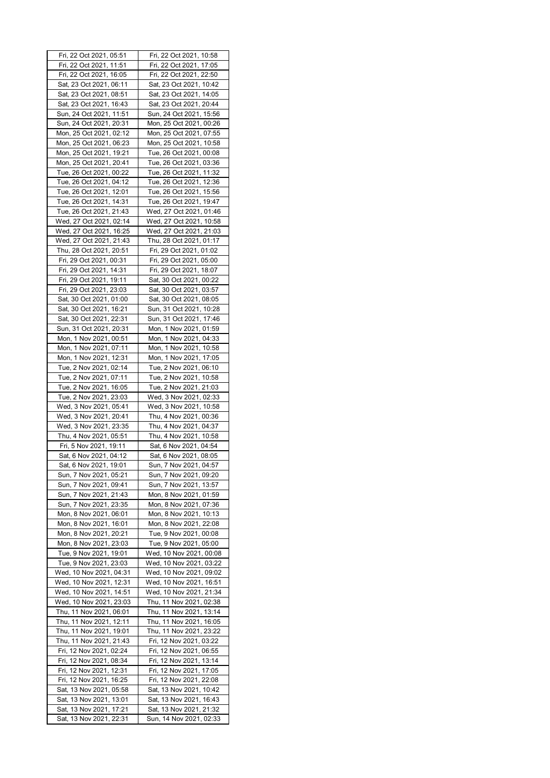| Fri, 22 Oct 2021, 05:51                            | Fri, 22 Oct 2021, 10:58                            |
|----------------------------------------------------|----------------------------------------------------|
| Fri, 22 Oct 2021, 11:51                            | Fri, 22 Oct 2021, 17:05                            |
| Fri, 22 Oct 2021, 16:05                            | Fri, 22 Oct 2021, 22:50                            |
| Sat, 23 Oct 2021, 06:11                            | Sat, 23 Oct 2021, 10:42                            |
| Sat, 23 Oct 2021, 08:51                            | Sat, 23 Oct 2021, 14:05                            |
| Sat, 23 Oct 2021, 16:43                            | Sat, 23 Oct 2021, 20:44                            |
| Sun, 24 Oct 2021, 11:51                            | Sun, 24 Oct 2021, 15:56                            |
| Sun, 24 Oct 2021, 20:31                            | Mon, 25 Oct 2021, 00:26                            |
| Mon, 25 Oct 2021, 02:12                            | Mon, 25 Oct 2021, 07:55                            |
| Mon, 25 Oct 2021, 06:23                            | Mon, 25 Oct 2021, 10:58                            |
| Mon, 25 Oct 2021, 19:21                            | Tue, 26 Oct 2021, 00:08                            |
| Mon, 25 Oct 2021, 20:41                            | Tue, 26 Oct 2021, 03:36                            |
| Tue, 26 Oct 2021, 00:22                            | Tue, 26 Oct 2021, 11:32                            |
| Tue, 26 Oct 2021, 04:12                            | Tue, 26 Oct 2021, 12:36                            |
| Tue, 26 Oct 2021, 12:01                            | Tue, 26 Oct 2021, 15:56                            |
| Tue, 26 Oct 2021, 14:31                            | Tue, 26 Oct 2021, 19:47                            |
| Tue, 26 Oct 2021, 21:43                            | Wed, 27 Oct 2021, 01:46                            |
| Wed, 27 Oct 2021, 02:14                            | Wed, 27 Oct 2021, 10:58                            |
| Wed, 27 Oct 2021, 16:25                            | Wed, 27 Oct 2021, 21:03                            |
| Wed, 27 Oct 2021, 21:43                            | Thu, 28 Oct 2021, 01:17                            |
| Thu, 28 Oct 2021, 20:51                            | Fri, 29 Oct 2021, 01:02                            |
| Fri, 29 Oct 2021, 00:31                            | Fri, 29 Oct 2021, 05:00                            |
| Fri, 29 Oct 2021, 14:31                            | Fri, 29 Oct 2021, 18:07                            |
| Fri, 29 Oct 2021, 19:11                            | Sat, 30 Oct 2021, 00:22                            |
| Fri, 29 Oct 2021, 23:03                            | Sat, 30 Oct 2021, 03:57                            |
| Sat, 30 Oct 2021, 01:00                            | Sat, 30 Oct 2021, 08:05                            |
| Sat, 30 Oct 2021, 16:21                            | Sun, 31 Oct 2021, 10:28                            |
| Sat, 30 Oct 2021, 22:31                            | Sun, 31 Oct 2021, 17:46                            |
| Sun, 31 Oct 2021, 20:31                            | Mon, 1 Nov 2021, 01:59                             |
| Mon, 1 Nov 2021, 00:51                             | Mon, 1 Nov 2021, 04:33                             |
| Mon, 1 Nov 2021, 07:11                             | Mon, 1 Nov 2021, 10:58                             |
| Mon, 1 Nov 2021, 12:31                             | Mon, 1 Nov 2021, 17:05                             |
| Tue, 2 Nov 2021, 02:14                             | Tue, 2 Nov 2021, 06:10                             |
| Tue, 2 Nov 2021, 07:11<br>Tue, 2 Nov 2021, 16:05   | Tue, 2 Nov 2021, 10:58<br>Tue, 2 Nov 2021, 21:03   |
| Tue, 2 Nov 2021, 23:03                             | Wed, 3 Nov 2021, 02:33                             |
| Wed, 3 Nov 2021, 05:41                             | Wed, 3 Nov 2021, 10:58                             |
| Wed, 3 Nov 2021, 20:41                             | Thu, 4 Nov 2021, 00:36                             |
| Wed, 3 Nov 2021, 23:35                             | Thu, 4 Nov 2021, 04:37                             |
| Thu, 4 Nov 2021, 05:51                             | Thu, 4 Nov 2021, 10:58                             |
| Fri, 5 Nov 2021, 19:11                             | Sat, 6 Nov 2021, 04:54                             |
| Sat, 6 Nov 2021, 04:12                             | Sat, 6 Nov 2021, 08:05                             |
| Sat, 6 Nov 2021, 19:01                             | Sun, 7 Nov 2021, 04:57                             |
| Sun, 7 Nov 2021, 05:21                             | Sun, 7 Nov 2021, 09:20                             |
| Sun, 7 Nov 2021, 09:41                             | Sun, 7 Nov 2021, 13:57                             |
| Sun, 7 Nov 2021, 21:43                             | Mon, 8 Nov 2021, 01:59                             |
| Sun, 7 Nov 2021, 23:35                             | Mon, 8 Nov 2021, 07:36                             |
| Mon, 8 Nov 2021, 06:01                             | Mon, 8 Nov 2021, 10:13                             |
| Mon, 8 Nov 2021, 16:01                             | Mon, 8 Nov 2021, 22:08                             |
| Mon, 8 Nov 2021, 20:21                             | Tue, 9 Nov 2021, 00:08                             |
| Mon, 8 Nov 2021, 23:03                             | Tue, 9 Nov 2021, 05:00                             |
| Tue, 9 Nov 2021, 19:01                             | Wed, 10 Nov 2021, 00:08                            |
| Tue, 9 Nov 2021, 23:03                             | Wed, 10 Nov 2021, 03:22<br>Wed, 10 Nov 2021, 09:02 |
| Wed, 10 Nov 2021, 04:31<br>Wed, 10 Nov 2021, 12:31 | Wed, 10 Nov 2021, 16:51                            |
| Wed, 10 Nov 2021, 14:51                            | Wed, 10 Nov 2021, 21:34                            |
| Wed, 10 Nov 2021, 23:03                            | Thu, 11 Nov 2021, 02:38                            |
| Thu, 11 Nov 2021, 06:01                            | Thu, 11 Nov 2021, 13:14                            |
| Thu, 11 Nov 2021, 12:11                            | Thu, 11 Nov 2021, 16:05                            |
| Thu, 11 Nov 2021, 19:01                            | Thu, 11 Nov 2021, 23:22                            |
| Thu, 11 Nov 2021, 21:43                            | Fri, 12 Nov 2021, 03:22                            |
| Fri, 12 Nov 2021, 02:24                            | Fri, 12 Nov 2021, 06:55                            |
| Fri, 12 Nov 2021, 08:34                            | Fri, 12 Nov 2021, 13:14                            |
| Fri, 12 Nov 2021, 12:31                            | Fri, 12 Nov 2021, 17:05                            |
| Fri, 12 Nov 2021, 16:25                            | Fri, 12 Nov 2021, 22:08                            |
| Sat, 13 Nov 2021, 05:58                            | Sat, 13 Nov 2021, 10:42                            |
| Sat, 13 Nov 2021, 13:01                            | Sat, 13 Nov 2021, 16:43                            |
| Sat, 13 Nov 2021, 17:21                            | Sat, 13 Nov 2021, 21:32                            |
| Sat, 13 Nov 2021, 22:31                            | Sun, 14 Nov 2021, 02:33                            |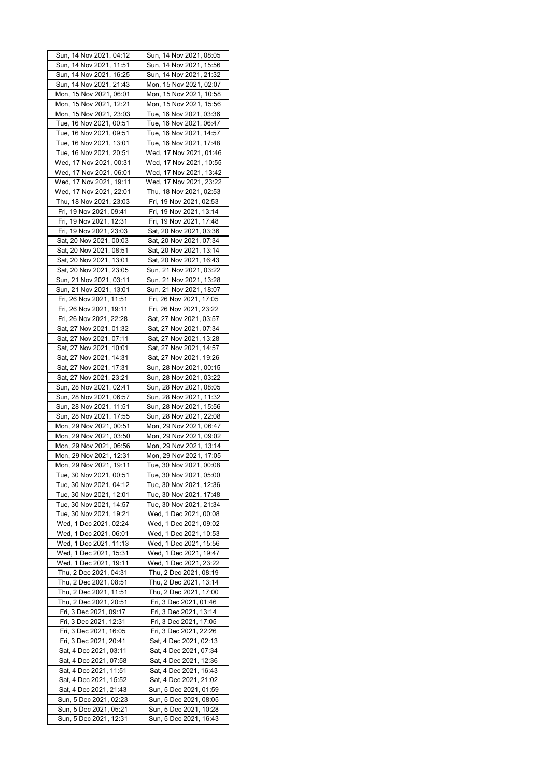| Sun, 14 Nov 2021, 04:12 | Sun, 14 Nov 2021, 08:05 |
|-------------------------|-------------------------|
| Sun, 14 Nov 2021, 11:51 | Sun, 14 Nov 2021, 15:56 |
| Sun, 14 Nov 2021, 16:25 | Sun, 14 Nov 2021, 21:32 |
|                         |                         |
| Sun, 14 Nov 2021, 21:43 | Mon, 15 Nov 2021, 02:07 |
| Mon, 15 Nov 2021, 06:01 | Mon, 15 Nov 2021, 10:58 |
| Mon, 15 Nov 2021, 12:21 | Mon, 15 Nov 2021, 15:56 |
| Mon, 15 Nov 2021, 23:03 | Tue, 16 Nov 2021, 03:36 |
| Tue, 16 Nov 2021, 00:51 | Tue, 16 Nov 2021, 06:47 |
|                         |                         |
| Tue, 16 Nov 2021, 09:51 | Tue, 16 Nov 2021, 14:57 |
| Tue, 16 Nov 2021, 13:01 | Tue, 16 Nov 2021, 17:48 |
| Tue, 16 Nov 2021, 20:51 | Wed, 17 Nov 2021, 01:46 |
| Wed, 17 Nov 2021, 00:31 | Wed, 17 Nov 2021, 10:55 |
| Wed, 17 Nov 2021, 06:01 | Wed, 17 Nov 2021, 13:42 |
|                         |                         |
| Wed, 17 Nov 2021, 19:11 | Wed, 17 Nov 2021, 23:22 |
| Wed, 17 Nov 2021, 22:01 | Thu, 18 Nov 2021, 02:53 |
| Thu, 18 Nov 2021, 23:03 | Fri, 19 Nov 2021, 02:53 |
| Fri, 19 Nov 2021, 09:41 | Fri, 19 Nov 2021, 13:14 |
| Fri, 19 Nov 2021, 12:31 | Fri, 19 Nov 2021, 17:48 |
| Fri, 19 Nov 2021, 23:03 | Sat, 20 Nov 2021, 03:36 |
|                         |                         |
| Sat, 20 Nov 2021, 00:03 | Sat, 20 Nov 2021, 07:34 |
| Sat, 20 Nov 2021, 08:51 | Sat, 20 Nov 2021, 13:14 |
| Sat, 20 Nov 2021, 13:01 | Sat, 20 Nov 2021, 16:43 |
| Sat, 20 Nov 2021, 23:05 | Sun, 21 Nov 2021, 03:22 |
| Sun, 21 Nov 2021, 03:11 | Sun, 21 Nov 2021, 13:28 |
|                         |                         |
| Sun, 21 Nov 2021, 13:01 | Sun, 21 Nov 2021, 18:07 |
| Fri, 26 Nov 2021, 11:51 | Fri, 26 Nov 2021, 17:05 |
| Fri, 26 Nov 2021, 19:11 | Fri, 26 Nov 2021, 23:22 |
| Fri, 26 Nov 2021, 22:28 | Sat, 27 Nov 2021, 03:57 |
| Sat, 27 Nov 2021, 01:32 | Sat, 27 Nov 2021, 07:34 |
|                         |                         |
| Sat, 27 Nov 2021, 07:11 | Sat, 27 Nov 2021, 13:28 |
| Sat, 27 Nov 2021, 10:01 | Sat, 27 Nov 2021, 14:57 |
| Sat, 27 Nov 2021, 14:31 | Sat, 27 Nov 2021, 19:26 |
| Sat, 27 Nov 2021, 17:31 | Sun, 28 Nov 2021, 00:15 |
| Sat, 27 Nov 2021, 23:21 | Sun, 28 Nov 2021, 03:22 |
| Sun, 28 Nov 2021, 02:41 | Sun, 28 Nov 2021, 08:05 |
|                         |                         |
| Sun, 28 Nov 2021, 06:57 | Sun, 28 Nov 2021, 11:32 |
| Sun, 28 Nov 2021, 11:51 | Sun, 28 Nov 2021, 15:56 |
| Sun, 28 Nov 2021, 17:55 | Sun, 28 Nov 2021, 22:08 |
| Mon, 29 Nov 2021, 00:51 | Mon, 29 Nov 2021, 06:47 |
| Mon, 29 Nov 2021, 03:50 | Mon, 29 Nov 2021, 09:02 |
| Mon, 29 Nov 2021, 06:56 | Mon, 29 Nov 2021, 13:14 |
|                         |                         |
| Mon, 29 Nov 2021, 12:31 | Mon, 29 Nov 2021, 17:05 |
| Mon, 29 Nov 2021, 19:11 | Tue, 30 Nov 2021, 00:08 |
| Tue, 30 Nov 2021, 00:51 | Tue, 30 Nov 2021, 05:00 |
| Tue, 30 Nov 2021, 04:12 | Tue, 30 Nov 2021, 12:36 |
| Tue, 30 Nov 2021, 12:01 | Tue, 30 Nov 2021, 17:48 |
| Tue, 30 Nov 2021, 14:57 | Tue, 30 Nov 2021, 21:34 |
| Tue, 30 Nov 2021, 19:21 | Wed, 1 Dec 2021, 00:08  |
|                         |                         |
| Wed, 1 Dec 2021, 02:24  | Wed, 1 Dec 2021, 09:02  |
| Wed, 1 Dec 2021, 06:01  | Wed, 1 Dec 2021, 10:53  |
| Wed, 1 Dec 2021, 11:13  | Wed, 1 Dec 2021, 15:56  |
| Wed, 1 Dec 2021, 15:31  | Wed, 1 Dec 2021, 19:47  |
| Wed, 1 Dec 2021, 19:11  | Wed, 1 Dec 2021, 23:22  |
| Thu, 2 Dec 2021, 04:31  | Thu, 2 Dec 2021, 08:19  |
|                         |                         |
| Thu, 2 Dec 2021, 08:51  | Thu, 2 Dec 2021, 13:14  |
| Thu, 2 Dec 2021, 11:51  | Thu, 2 Dec 2021, 17:00  |
| Thu, 2 Dec 2021, 20:51  | Fri, 3 Dec 2021, 01:46  |
| Fri, 3 Dec 2021, 09:17  | Fri, 3 Dec 2021, 13:14  |
| Fri, 3 Dec 2021, 12:31  | Fri, 3 Dec 2021, 17:05  |
| Fri, 3 Dec 2021, 16:05  | Fri, 3 Dec 2021, 22:26  |
|                         |                         |
| Fri, 3 Dec 2021, 20:41  | Sat, 4 Dec 2021, 02:13  |
| Sat, 4 Dec 2021, 03:11  | Sat, 4 Dec 2021, 07:34  |
| Sat, 4 Dec 2021, 07:58  | Sat, 4 Dec 2021, 12:36  |
| Sat, 4 Dec 2021, 11:51  | Sat, 4 Dec 2021, 16:43  |
| Sat, 4 Dec 2021, 15:52  | Sat, 4 Dec 2021, 21:02  |
| Sat, 4 Dec 2021, 21:43  | Sun, 5 Dec 2021, 01:59  |
|                         |                         |
| Sun, 5 Dec 2021, 02:23  | Sun, 5 Dec 2021, 08:05  |
| Sun, 5 Dec 2021, 05:21  | Sun, 5 Dec 2021, 10:28  |
| Sun, 5 Dec 2021, 12:31  | Sun, 5 Dec 2021, 16:43  |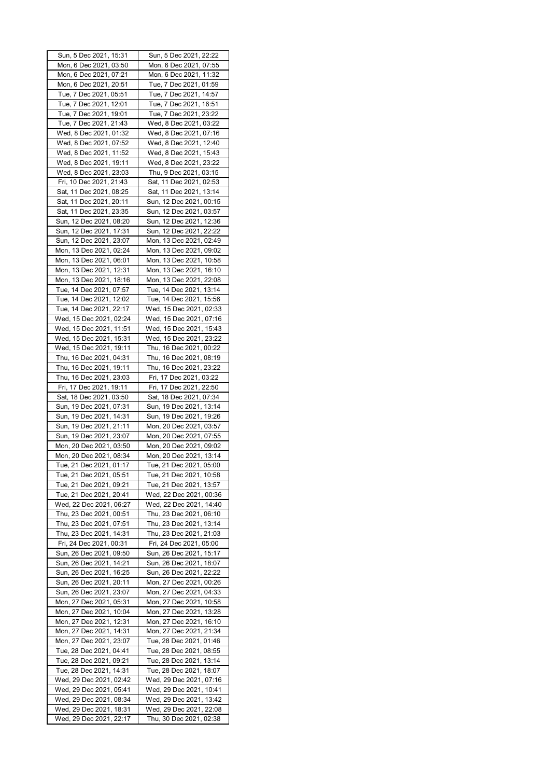| Sun, 5 Dec 2021, 15:31                             | Sun, 5 Dec 2021, 22:22                             |
|----------------------------------------------------|----------------------------------------------------|
| Mon, 6 Dec 2021, 03:50                             | Mon, 6 Dec 2021, 07:55                             |
| Mon, 6 Dec 2021, 07:21                             | Mon, 6 Dec 2021, 11:32                             |
| Mon, 6 Dec 2021, 20:51                             | Tue, 7 Dec 2021, 01:59                             |
| Tue, 7 Dec 2021, 05:51                             | Tue, 7 Dec 2021, 14:57                             |
| Tue, 7 Dec 2021, 12:01                             | Tue, 7 Dec 2021, 16:51                             |
| Tue, 7 Dec 2021, 19:01                             | Tue, 7 Dec 2021, 23:22                             |
| Tue, 7 Dec 2021, 21:43                             | Wed, 8 Dec 2021, 03:22                             |
| Wed, 8 Dec 2021, 01:32                             | Wed, 8 Dec 2021, 07:16                             |
| Wed, 8 Dec 2021, 07:52                             | Wed, 8 Dec 2021, 12:40                             |
| Wed, 8 Dec 2021, 11:52                             | Wed, 8 Dec 2021, 15:43                             |
| Wed, 8 Dec 2021, 19:11                             | Wed, 8 Dec 2021, 23:22                             |
| Wed, 8 Dec 2021, 23:03                             | Thu, 9 Dec 2021, 03:15                             |
| Fri, 10 Dec 2021, 21:43                            | Sat, 11 Dec 2021, 02:53                            |
| Sat, 11 Dec 2021, 08:25                            | Sat, 11 Dec 2021, 13:14                            |
| Sat, 11 Dec 2021, 20:11                            | Sun, 12 Dec 2021, 00:15                            |
|                                                    |                                                    |
| Sat, 11 Dec 2021, 23:35                            | Sun, 12 Dec 2021, 03:57                            |
| Sun, 12 Dec 2021, 08:20                            | Sun, 12 Dec 2021, 12:36                            |
| Sun, 12 Dec 2021, 17:31                            | Sun, 12 Dec 2021, 22:22                            |
| Sun, 12 Dec 2021, 23:07                            | Mon, 13 Dec 2021, 02:49                            |
| Mon, 13 Dec 2021, 02:24                            | Mon, 13 Dec 2021, 09:02                            |
| Mon, 13 Dec 2021, 06:01                            | Mon, 13 Dec 2021, 10:58                            |
| Mon, 13 Dec 2021, 12:31                            | Mon, 13 Dec 2021, 16:10                            |
| Mon, 13 Dec 2021, 18:16                            | Mon, 13 Dec 2021, 22:08                            |
| Tue, 14 Dec 2021, 07:57                            | Tue, 14 Dec 2021, 13:14                            |
| Tue, 14 Dec 2021, 12:02                            | Tue, 14 Dec 2021, 15:56                            |
| Tue, 14 Dec 2021, 22:17                            | Wed, 15 Dec 2021, 02:33                            |
| Wed, 15 Dec 2021, 02:24                            | Wed, 15 Dec 2021, 07:16                            |
| Wed, 15 Dec 2021, 11:51                            | Wed, 15 Dec 2021, 15:43                            |
| Wed, 15 Dec 2021, 15:31                            | Wed, 15 Dec 2021, 23:22                            |
| Wed, 15 Dec 2021, 19:11                            | Thu, 16 Dec 2021, 00:22                            |
| Thu, 16 Dec 2021, 04:31                            | Thu, 16 Dec 2021, 08:19                            |
| Thu, 16 Dec 2021, 19:11                            | Thu, 16 Dec 2021, 23:22                            |
| Thu, 16 Dec 2021, 23:03                            | Fri, 17 Dec 2021, 03:22                            |
| Fri, 17 Dec 2021, 19:11                            | Fri, 17 Dec 2021, 22:50                            |
| Sat, 18 Dec 2021, 03:50                            | Sat, 18 Dec 2021, 07:34                            |
| Sun, 19 Dec 2021, 07:31                            | Sun, 19 Dec 2021, 13:14                            |
| Sun, 19 Dec 2021, 14:31                            | Sun, 19 Dec 2021, 19:26                            |
| Sun, 19 Dec 2021, 21:11                            | Mon, 20 Dec 2021, 03:57                            |
| Sun, 19 Dec 2021, 23:07                            | Mon, 20 Dec 2021, 07:55                            |
| Mon, 20 Dec 2021, 03:50                            | Mon, 20 Dec 2021, 09:02                            |
| Mon, 20 Dec 2021, 08:34                            | Mon, 20 Dec 2021, 13:14                            |
| Tue, 21 Dec 2021, 01:17                            | Tue, 21 Dec 2021, 05:00                            |
| Tue, 21 Dec 2021, 05:51                            | Tue, 21 Dec 2021, 10:58                            |
| Tue, 21 Dec 2021, 09:21                            | Tue, 21 Dec 2021, 13:57                            |
| Tue, 21 Dec 2021, 20:41                            | Wed, 22 Dec 2021, 00:36                            |
| Wed, 22 Dec 2021, 06:27                            | Wed, 22 Dec 2021, 14:40                            |
| Thu, 23 Dec 2021, 00:51                            | Thu, 23 Dec 2021, 06:10                            |
| Thu, 23 Dec 2021, 07:51                            | Thu, 23 Dec 2021, 13:14                            |
| Thu, 23 Dec 2021, 14:31                            | Thu, 23 Dec 2021, 21:03                            |
| Fri, 24 Dec 2021, 00:31                            | Fri, 24 Dec 2021, 05:00                            |
| Sun, 26 Dec 2021, 09:50                            | Sun, 26 Dec 2021, 15:17                            |
| Sun, 26 Dec 2021, 14:21                            | Sun, 26 Dec 2021, 18:07                            |
| Sun, 26 Dec 2021, 16:25                            | Sun, 26 Dec 2021, 22:22                            |
| Sun, 26 Dec 2021, 20:11                            | Mon, 27 Dec 2021, 00:26                            |
| Sun, 26 Dec 2021, 23:07                            | Mon, 27 Dec 2021, 04:33                            |
| Mon, 27 Dec 2021, 05:31                            | Mon, 27 Dec 2021, 10:58                            |
| Mon, 27 Dec 2021, 10:04                            | Mon, 27 Dec 2021, 13:28                            |
| Mon, 27 Dec 2021, 12:31                            | Mon, 27 Dec 2021, 16:10                            |
| Mon, 27 Dec 2021, 14:31                            | Mon, 27 Dec 2021, 21:34                            |
| Mon, 27 Dec 2021, 23:07                            | Tue, 28 Dec 2021, 01:46                            |
|                                                    |                                                    |
| Tue, 28 Dec 2021, 04:41                            | Tue, 28 Dec 2021, 08:55                            |
| Tue, 28 Dec 2021, 09:21                            | Tue, 28 Dec 2021, 13:14                            |
| Tue, 28 Dec 2021, 14:31                            | Tue, 28 Dec 2021, 18:07                            |
| Wed, 29 Dec 2021, 02:42                            | Wed, 29 Dec 2021, 07:16                            |
| Wed, 29 Dec 2021, 05:41                            | Wed, 29 Dec 2021, 10:41                            |
| Wed, 29 Dec 2021, 08:34                            | Wed, 29 Dec 2021, 13:42                            |
| Wed, 29 Dec 2021, 18:31<br>Wed, 29 Dec 2021, 22:17 | Wed, 29 Dec 2021, 22:08<br>Thu, 30 Dec 2021, 02:38 |
|                                                    |                                                    |